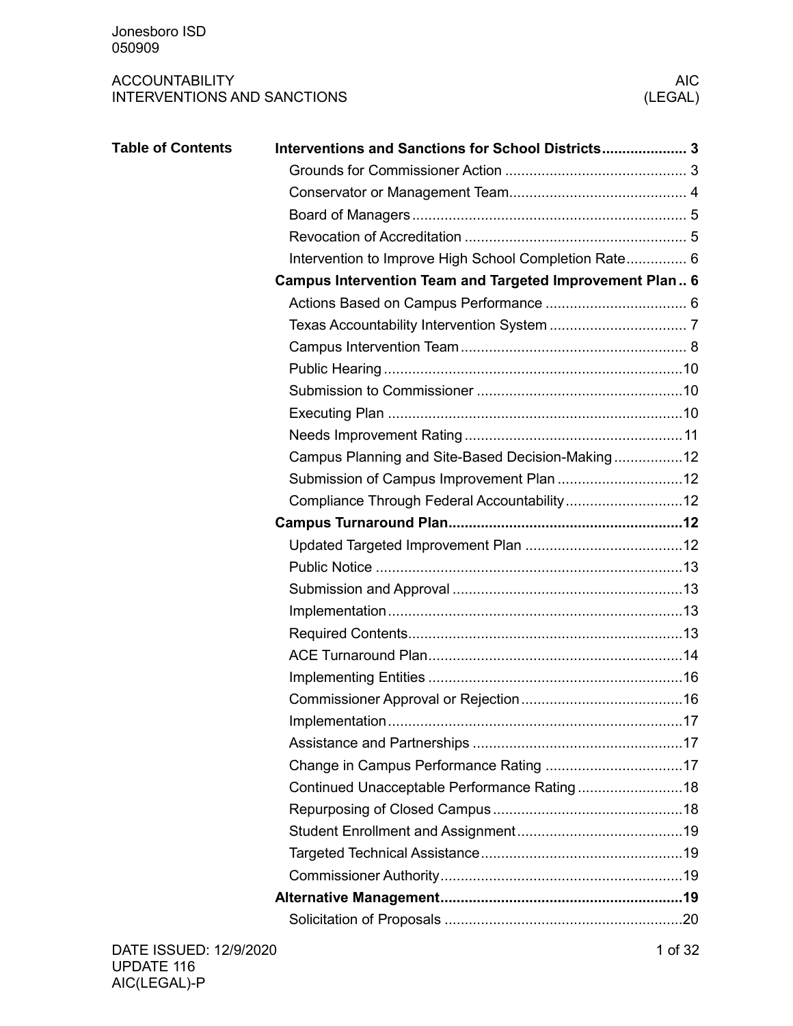| <b>Table of Contents</b> |                                                                 |  |  |  |  |  |  |
|--------------------------|-----------------------------------------------------------------|--|--|--|--|--|--|
|                          |                                                                 |  |  |  |  |  |  |
|                          |                                                                 |  |  |  |  |  |  |
|                          |                                                                 |  |  |  |  |  |  |
|                          |                                                                 |  |  |  |  |  |  |
|                          | Intervention to Improve High School Completion Rate 6           |  |  |  |  |  |  |
|                          | <b>Campus Intervention Team and Targeted Improvement Plan 6</b> |  |  |  |  |  |  |
|                          |                                                                 |  |  |  |  |  |  |
|                          |                                                                 |  |  |  |  |  |  |
|                          |                                                                 |  |  |  |  |  |  |
|                          |                                                                 |  |  |  |  |  |  |
|                          |                                                                 |  |  |  |  |  |  |
|                          |                                                                 |  |  |  |  |  |  |
|                          |                                                                 |  |  |  |  |  |  |
|                          | Campus Planning and Site-Based Decision-Making12                |  |  |  |  |  |  |
|                          |                                                                 |  |  |  |  |  |  |
|                          |                                                                 |  |  |  |  |  |  |
|                          |                                                                 |  |  |  |  |  |  |
|                          |                                                                 |  |  |  |  |  |  |
|                          |                                                                 |  |  |  |  |  |  |
|                          |                                                                 |  |  |  |  |  |  |
|                          |                                                                 |  |  |  |  |  |  |
|                          |                                                                 |  |  |  |  |  |  |
|                          |                                                                 |  |  |  |  |  |  |
|                          |                                                                 |  |  |  |  |  |  |
|                          |                                                                 |  |  |  |  |  |  |
|                          |                                                                 |  |  |  |  |  |  |
|                          |                                                                 |  |  |  |  |  |  |
|                          |                                                                 |  |  |  |  |  |  |
|                          |                                                                 |  |  |  |  |  |  |
|                          |                                                                 |  |  |  |  |  |  |
|                          |                                                                 |  |  |  |  |  |  |
|                          |                                                                 |  |  |  |  |  |  |
|                          |                                                                 |  |  |  |  |  |  |
|                          |                                                                 |  |  |  |  |  |  |
|                          |                                                                 |  |  |  |  |  |  |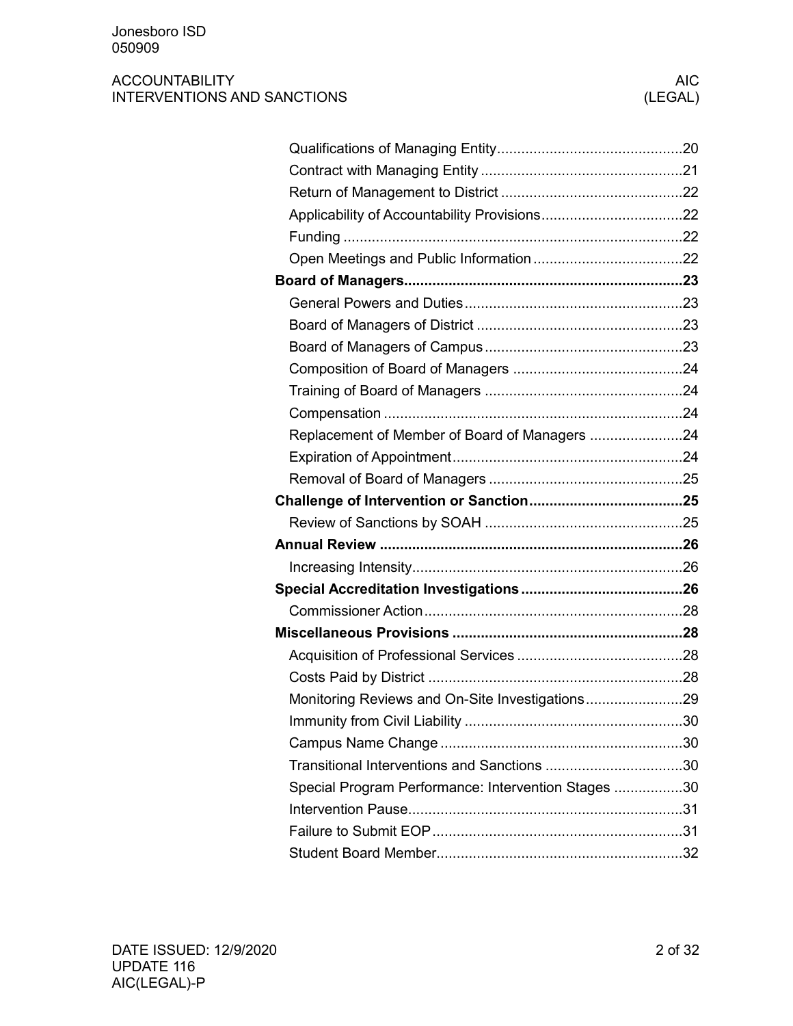| Replacement of Member of Board of Managers 24       |  |
|-----------------------------------------------------|--|
|                                                     |  |
|                                                     |  |
|                                                     |  |
|                                                     |  |
|                                                     |  |
|                                                     |  |
|                                                     |  |
|                                                     |  |
|                                                     |  |
|                                                     |  |
|                                                     |  |
|                                                     |  |
| Monitoring Reviews and On-Site Investigations29     |  |
|                                                     |  |
|                                                     |  |
| Transitional Interventions and Sanctions 30         |  |
| Special Program Performance: Intervention Stages 30 |  |
|                                                     |  |
|                                                     |  |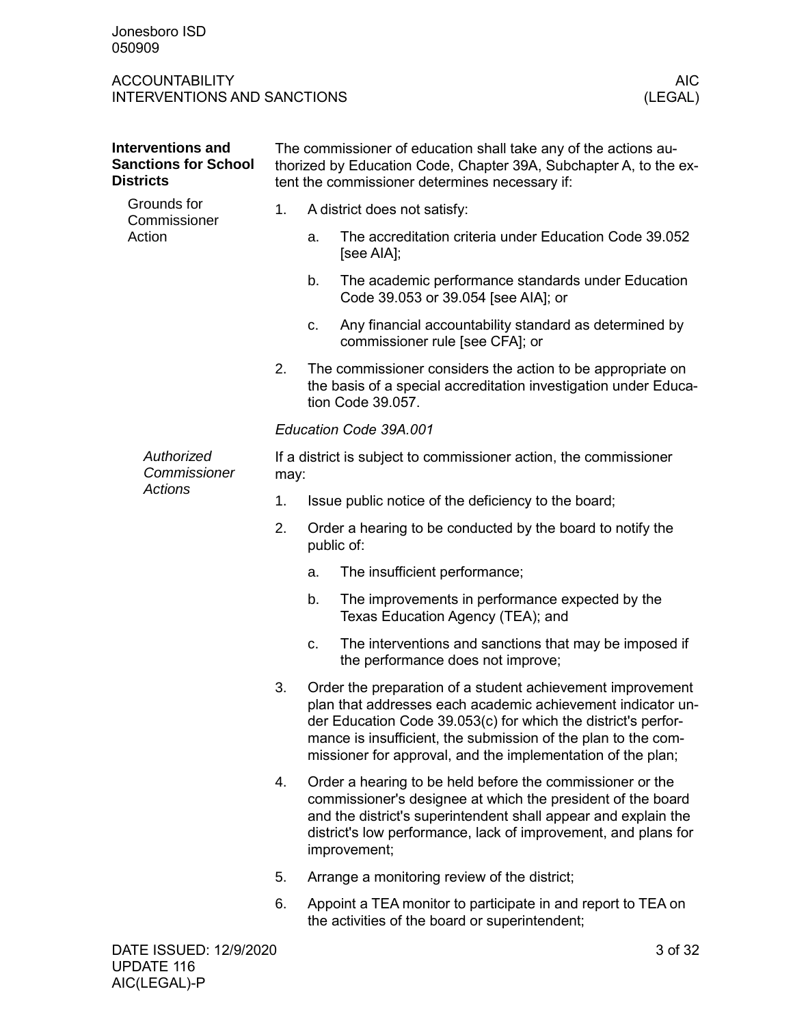<span id="page-2-1"></span><span id="page-2-0"></span>

| <b>Interventions and</b><br><b>Sanctions for School</b><br><b>Districts</b> |                                                                           | The commissioner of education shall take any of the actions au-<br>thorized by Education Code, Chapter 39A, Subchapter A, to the ex-<br>tent the commissioner determines necessary if:                                                                                       |                                                                                                                                                                                                                                                                                                                            |  |
|-----------------------------------------------------------------------------|---------------------------------------------------------------------------|------------------------------------------------------------------------------------------------------------------------------------------------------------------------------------------------------------------------------------------------------------------------------|----------------------------------------------------------------------------------------------------------------------------------------------------------------------------------------------------------------------------------------------------------------------------------------------------------------------------|--|
| Grounds for<br>Commissioner                                                 | 1.                                                                        |                                                                                                                                                                                                                                                                              | A district does not satisfy:                                                                                                                                                                                                                                                                                               |  |
| Action                                                                      |                                                                           | a.                                                                                                                                                                                                                                                                           | The accreditation criteria under Education Code 39.052<br>[see AIA];                                                                                                                                                                                                                                                       |  |
|                                                                             |                                                                           | b.                                                                                                                                                                                                                                                                           | The academic performance standards under Education<br>Code 39.053 or 39.054 [see AIA]; or                                                                                                                                                                                                                                  |  |
|                                                                             |                                                                           | c.                                                                                                                                                                                                                                                                           | Any financial accountability standard as determined by<br>commissioner rule [see CFA]; or                                                                                                                                                                                                                                  |  |
|                                                                             | 2.                                                                        |                                                                                                                                                                                                                                                                              | The commissioner considers the action to be appropriate on<br>the basis of a special accreditation investigation under Educa-<br>tion Code 39.057.                                                                                                                                                                         |  |
|                                                                             |                                                                           |                                                                                                                                                                                                                                                                              | Education Code 39A.001                                                                                                                                                                                                                                                                                                     |  |
| Authorized<br>Commissioner<br><b>Actions</b>                                | If a district is subject to commissioner action, the commissioner<br>may: |                                                                                                                                                                                                                                                                              |                                                                                                                                                                                                                                                                                                                            |  |
|                                                                             | 1.                                                                        |                                                                                                                                                                                                                                                                              | Issue public notice of the deficiency to the board;                                                                                                                                                                                                                                                                        |  |
|                                                                             | 2.                                                                        |                                                                                                                                                                                                                                                                              | Order a hearing to be conducted by the board to notify the<br>public of:                                                                                                                                                                                                                                                   |  |
|                                                                             |                                                                           | a.                                                                                                                                                                                                                                                                           | The insufficient performance;                                                                                                                                                                                                                                                                                              |  |
|                                                                             |                                                                           | b.                                                                                                                                                                                                                                                                           | The improvements in performance expected by the<br>Texas Education Agency (TEA); and                                                                                                                                                                                                                                       |  |
|                                                                             |                                                                           | c.                                                                                                                                                                                                                                                                           | The interventions and sanctions that may be imposed if<br>the performance does not improve;                                                                                                                                                                                                                                |  |
|                                                                             | 3.                                                                        |                                                                                                                                                                                                                                                                              | Order the preparation of a student achievement improvement<br>plan that addresses each academic achievement indicator un-<br>der Education Code 39.053(c) for which the district's perfor-<br>mance is insufficient, the submission of the plan to the com-<br>missioner for approval, and the implementation of the plan; |  |
|                                                                             | 4.                                                                        | Order a hearing to be held before the commissioner or the<br>commissioner's designee at which the president of the board<br>and the district's superintendent shall appear and explain the<br>district's low performance, lack of improvement, and plans for<br>improvement; |                                                                                                                                                                                                                                                                                                                            |  |
|                                                                             | 5.                                                                        |                                                                                                                                                                                                                                                                              | Arrange a monitoring review of the district;                                                                                                                                                                                                                                                                               |  |
|                                                                             | 6.                                                                        |                                                                                                                                                                                                                                                                              | Appoint a TEA monitor to participate in and report to TEA on<br>the activities of the board or superintendent;                                                                                                                                                                                                             |  |
| DATE ISSUED: 12/9/2020                                                      |                                                                           |                                                                                                                                                                                                                                                                              | 3 of 32                                                                                                                                                                                                                                                                                                                    |  |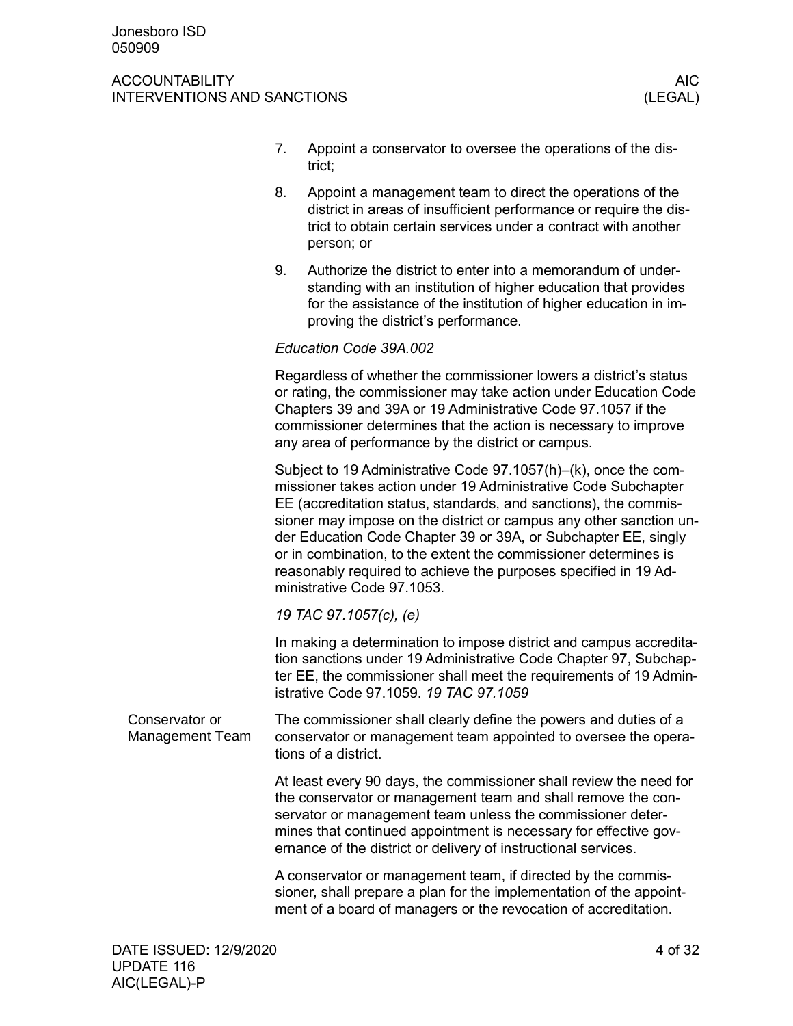#### ACCOUNTABILITY AIC ACCOUNTABILITY INTERVENTIONS AND SANCTIONS (LEGAL)

- 7. Appoint a conservator to oversee the operations of the district;
- 8. Appoint a management team to direct the operations of the district in areas of insufficient performance or require the district to obtain certain services under a contract with another person; or
- 9. Authorize the district to enter into a memorandum of understanding with an institution of higher education that provides for the assistance of the institution of higher education in improving the district's performance.

#### *Education Code 39A.002*

Regardless of whether the commissioner lowers a district's status or rating, the commissioner may take action under Education Code Chapters 39 and 39A or 19 Administrative Code 97.1057 if the commissioner determines that the action is necessary to improve any area of performance by the district or campus.

Subject to 19 Administrative Code 97.1057(h)–(k), once the commissioner takes action under 19 Administrative Code Subchapter EE (accreditation status, standards, and sanctions), the commissioner may impose on the district or campus any other sanction under Education Code Chapter 39 or 39A, or Subchapter EE, singly or in combination, to the extent the commissioner determines is reasonably required to achieve the purposes specified in 19 Administrative Code 97.1053.

*19 TAC 97.1057(c), (e)*

In making a determination to impose district and campus accreditation sanctions under 19 Administrative Code Chapter 97, Subchapter EE, the commissioner shall meet the requirements of 19 Administrative Code 97.1059. *19 TAC 97.1059*

<span id="page-3-0"></span>The commissioner shall clearly define the powers and duties of a conservator or management team appointed to oversee the operations of a district. Conservator or Management Team

> At least every 90 days, the commissioner shall review the need for the conservator or management team and shall remove the conservator or management team unless the commissioner determines that continued appointment is necessary for effective governance of the district or delivery of instructional services.

A conservator or management team, if directed by the commissioner, shall prepare a plan for the implementation of the appointment of a board of managers or the revocation of accreditation.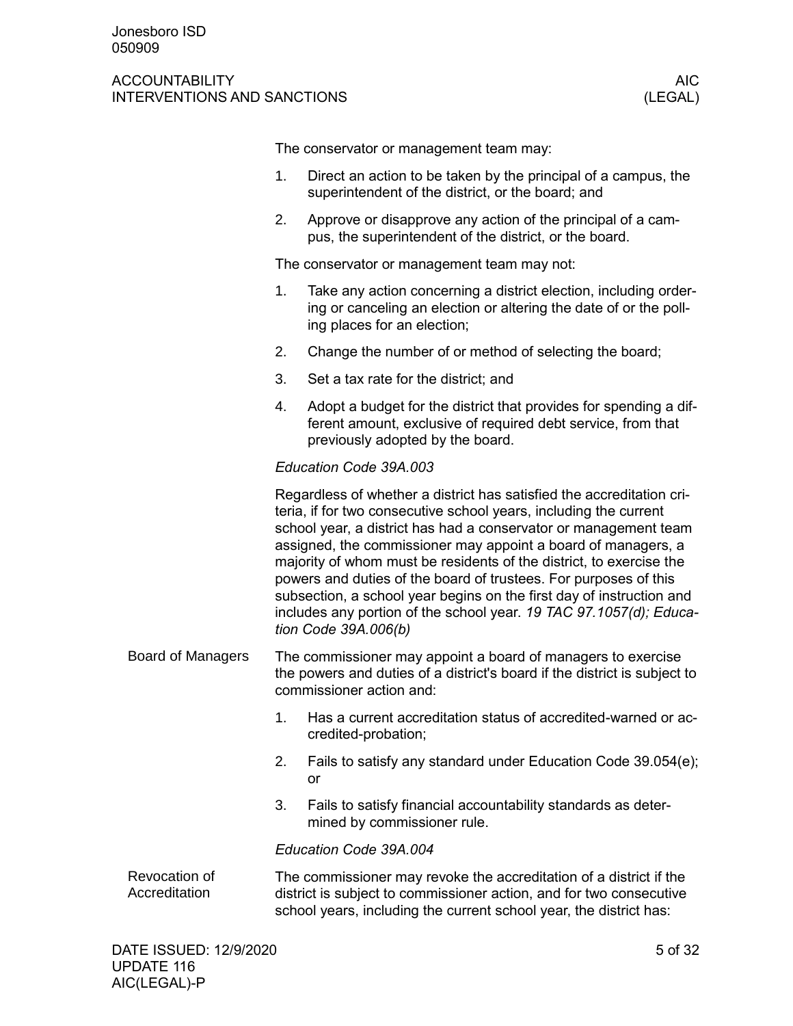#### ACCOUNTABILITY AIC ACCOUNTABILITY INTERVENTIONS AND SANCTIONS (LEGAL)

The conservator or management team may:

- 1. Direct an action to be taken by the principal of a campus, the superintendent of the district, or the board; and
- 2. Approve or disapprove any action of the principal of a campus, the superintendent of the district, or the board.

The conservator or management team may not:

- 1. Take any action concerning a district election, including ordering or canceling an election or altering the date of or the polling places for an election;
- 2. Change the number of or method of selecting the board;
- 3. Set a tax rate for the district; and
- 4. Adopt a budget for the district that provides for spending a different amount, exclusive of required debt service, from that previously adopted by the board.

#### *Education Code 39A.003*

Regardless of whether a district has satisfied the accreditation criteria, if for two consecutive school years, including the current school year, a district has had a conservator or management team assigned, the commissioner may appoint a board of managers, a majority of whom must be residents of the district, to exercise the powers and duties of the board of trustees. For purposes of this subsection, a school year begins on the first day of instruction and includes any portion of the school year. *19 TAC 97.1057(d); Education Code 39A.006(b)*

- <span id="page-4-0"></span>The commissioner may appoint a board of managers to exercise the powers and duties of a district's board if the district is subject to commissioner action and: Board of Managers
	- 1. Has a current accreditation status of accredited-warned or accredited-probation;
	- 2. Fails to satisfy any standard under Education Code 39.054(e); or
	- 3. Fails to satisfy financial accountability standards as determined by commissioner rule.

#### *Education Code 39A.004*

<span id="page-4-1"></span>The commissioner may revoke the accreditation of a district if the district is subject to commissioner action, and for two consecutive school years, including the current school year, the district has: Revocation of **Accreditation**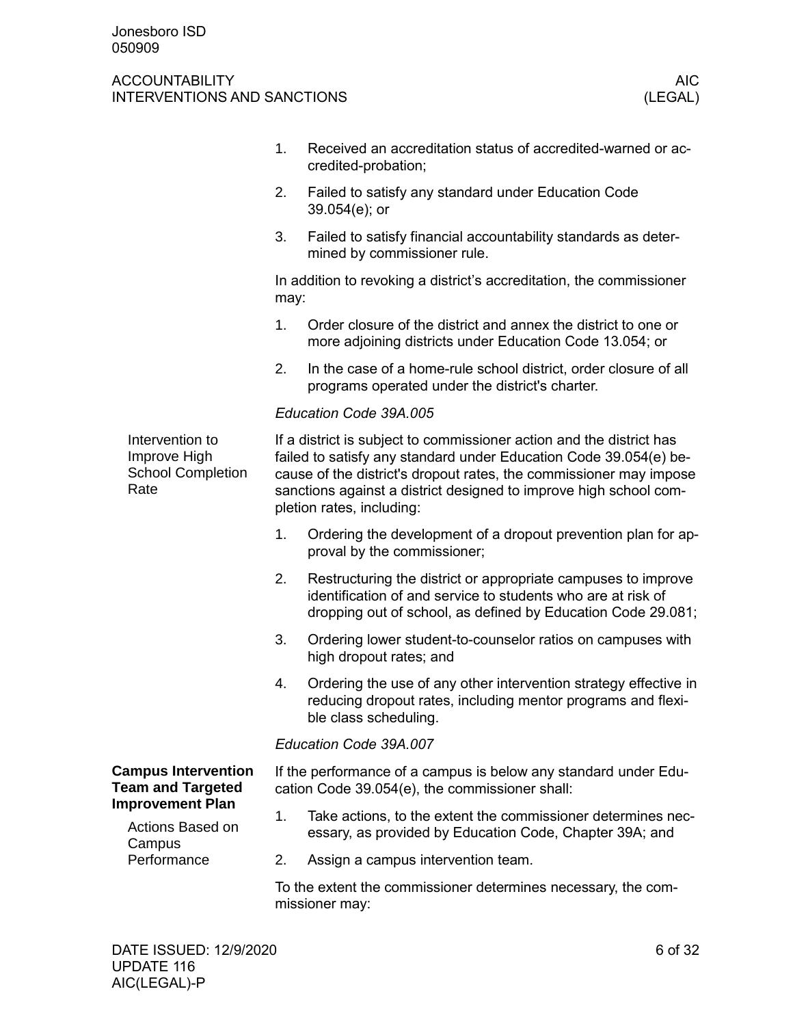<span id="page-5-2"></span><span id="page-5-1"></span><span id="page-5-0"></span>

|                                                                                                                 | 1.                                                                                                                | Received an accreditation status of accredited-warned or ac-<br>credited-probation;                                                                                                                                                                                                                               |  |  |  |  |
|-----------------------------------------------------------------------------------------------------------------|-------------------------------------------------------------------------------------------------------------------|-------------------------------------------------------------------------------------------------------------------------------------------------------------------------------------------------------------------------------------------------------------------------------------------------------------------|--|--|--|--|
|                                                                                                                 | 2.                                                                                                                | Failed to satisfy any standard under Education Code<br>39.054(e); or                                                                                                                                                                                                                                              |  |  |  |  |
|                                                                                                                 | 3.                                                                                                                | Failed to satisfy financial accountability standards as deter-<br>mined by commissioner rule.                                                                                                                                                                                                                     |  |  |  |  |
|                                                                                                                 | In addition to revoking a district's accreditation, the commissioner<br>may:                                      |                                                                                                                                                                                                                                                                                                                   |  |  |  |  |
|                                                                                                                 | 1.                                                                                                                | Order closure of the district and annex the district to one or<br>more adjoining districts under Education Code 13.054; or                                                                                                                                                                                        |  |  |  |  |
|                                                                                                                 | 2.                                                                                                                | In the case of a home-rule school district, order closure of all<br>programs operated under the district's charter.                                                                                                                                                                                               |  |  |  |  |
|                                                                                                                 |                                                                                                                   | Education Code 39A.005                                                                                                                                                                                                                                                                                            |  |  |  |  |
| Intervention to<br>Improve High<br><b>School Completion</b><br>Rate                                             |                                                                                                                   | If a district is subject to commissioner action and the district has<br>failed to satisfy any standard under Education Code 39.054(e) be-<br>cause of the district's dropout rates, the commissioner may impose<br>sanctions against a district designed to improve high school com-<br>pletion rates, including: |  |  |  |  |
|                                                                                                                 | 1.                                                                                                                | Ordering the development of a dropout prevention plan for ap-<br>proval by the commissioner;                                                                                                                                                                                                                      |  |  |  |  |
|                                                                                                                 | 2.                                                                                                                | Restructuring the district or appropriate campuses to improve<br>identification of and service to students who are at risk of<br>dropping out of school, as defined by Education Code 29.081;                                                                                                                     |  |  |  |  |
|                                                                                                                 | 3.                                                                                                                | Ordering lower student-to-counselor ratios on campuses with<br>high dropout rates; and                                                                                                                                                                                                                            |  |  |  |  |
|                                                                                                                 | 4.                                                                                                                | Ordering the use of any other intervention strategy effective in<br>reducing dropout rates, including mentor programs and flexi-<br>ble class scheduling.                                                                                                                                                         |  |  |  |  |
|                                                                                                                 | Education Code 39A.007                                                                                            |                                                                                                                                                                                                                                                                                                                   |  |  |  |  |
| <b>Campus Intervention</b><br><b>Team and Targeted</b><br><b>Improvement Plan</b><br>Actions Based on<br>Campus | If the performance of a campus is below any standard under Edu-<br>cation Code 39.054(e), the commissioner shall: |                                                                                                                                                                                                                                                                                                                   |  |  |  |  |
|                                                                                                                 | 1.                                                                                                                | Take actions, to the extent the commissioner determines nec-<br>essary, as provided by Education Code, Chapter 39A; and                                                                                                                                                                                           |  |  |  |  |
| Performance                                                                                                     | 2.                                                                                                                | Assign a campus intervention team.                                                                                                                                                                                                                                                                                |  |  |  |  |
|                                                                                                                 |                                                                                                                   | To the extent the commissioner determines necessary, the com-<br>missioner may:                                                                                                                                                                                                                                   |  |  |  |  |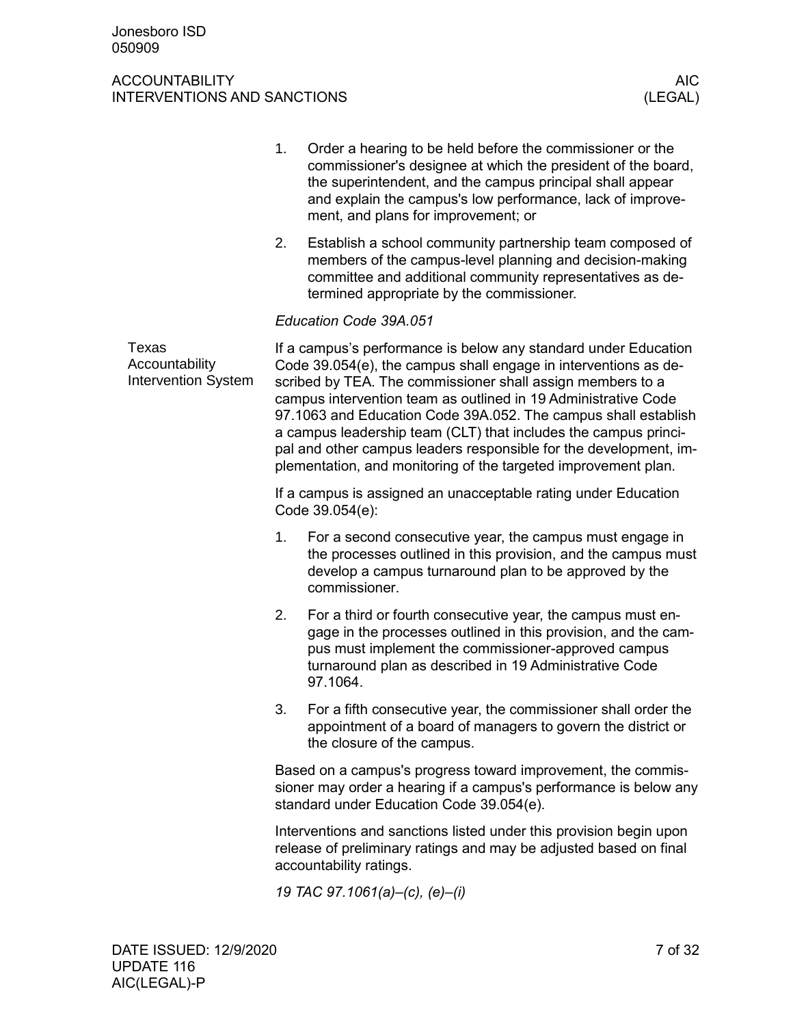<span id="page-6-0"></span>

|                                                       | 1.                                                                                                                                                                                                                                                                                                                                                                                                                                                                                                                                             | Order a hearing to be held before the commissioner or the<br>commissioner's designee at which the president of the board,<br>the superintendent, and the campus principal shall appear<br>and explain the campus's low performance, lack of improve-<br>ment, and plans for improvement; or |  |  |  |
|-------------------------------------------------------|------------------------------------------------------------------------------------------------------------------------------------------------------------------------------------------------------------------------------------------------------------------------------------------------------------------------------------------------------------------------------------------------------------------------------------------------------------------------------------------------------------------------------------------------|---------------------------------------------------------------------------------------------------------------------------------------------------------------------------------------------------------------------------------------------------------------------------------------------|--|--|--|
|                                                       | 2.                                                                                                                                                                                                                                                                                                                                                                                                                                                                                                                                             | Establish a school community partnership team composed of<br>members of the campus-level planning and decision-making<br>committee and additional community representatives as de-<br>termined appropriate by the commissioner.                                                             |  |  |  |
|                                                       |                                                                                                                                                                                                                                                                                                                                                                                                                                                                                                                                                | Education Code 39A.051                                                                                                                                                                                                                                                                      |  |  |  |
| Texas<br>Accountability<br><b>Intervention System</b> | If a campus's performance is below any standard under Education<br>Code 39.054(e), the campus shall engage in interventions as de-<br>scribed by TEA. The commissioner shall assign members to a<br>campus intervention team as outlined in 19 Administrative Code<br>97.1063 and Education Code 39A.052. The campus shall establish<br>a campus leadership team (CLT) that includes the campus princi-<br>pal and other campus leaders responsible for the development, im-<br>plementation, and monitoring of the targeted improvement plan. |                                                                                                                                                                                                                                                                                             |  |  |  |
|                                                       |                                                                                                                                                                                                                                                                                                                                                                                                                                                                                                                                                | If a campus is assigned an unacceptable rating under Education<br>Code 39.054(e):                                                                                                                                                                                                           |  |  |  |
|                                                       | 1.                                                                                                                                                                                                                                                                                                                                                                                                                                                                                                                                             | For a second consecutive year, the campus must engage in<br>the processes outlined in this provision, and the campus must<br>develop a campus turnaround plan to be approved by the<br>commissioner.                                                                                        |  |  |  |
|                                                       | 2.                                                                                                                                                                                                                                                                                                                                                                                                                                                                                                                                             | For a third or fourth consecutive year, the campus must en-<br>gage in the processes outlined in this provision, and the cam-<br>pus must implement the commissioner-approved campus<br>turnaround plan as described in 19 Administrative Code<br>97.1064.                                  |  |  |  |
|                                                       | 3.                                                                                                                                                                                                                                                                                                                                                                                                                                                                                                                                             | For a fifth consecutive year, the commissioner shall order the<br>appointment of a board of managers to govern the district or<br>the closure of the campus.                                                                                                                                |  |  |  |
|                                                       |                                                                                                                                                                                                                                                                                                                                                                                                                                                                                                                                                | Based on a campus's progress toward improvement, the commis-<br>sioner may order a hearing if a campus's performance is below any<br>standard under Education Code 39.054(e).                                                                                                               |  |  |  |
|                                                       |                                                                                                                                                                                                                                                                                                                                                                                                                                                                                                                                                | Interventions and sanctions listed under this provision begin upon<br>release of preliminary ratings and may be adjusted based on final<br>accountability ratings.                                                                                                                          |  |  |  |
|                                                       |                                                                                                                                                                                                                                                                                                                                                                                                                                                                                                                                                | 19 TAC 97.1061(a)-(c), (e)-(i)                                                                                                                                                                                                                                                              |  |  |  |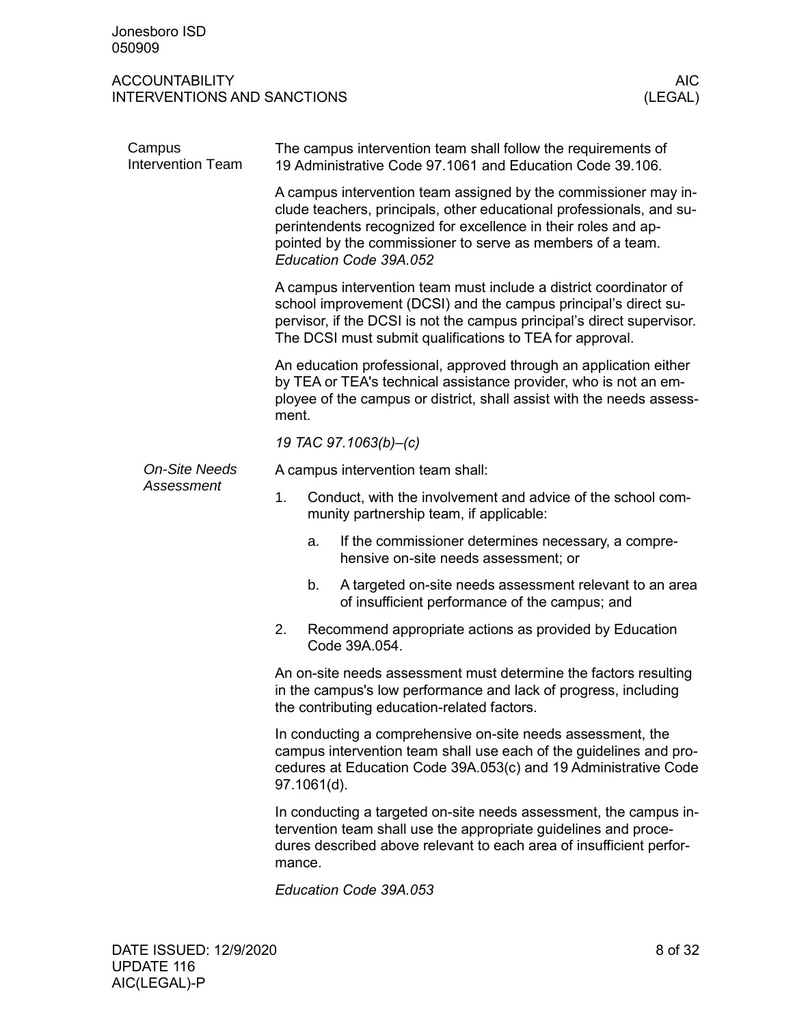<span id="page-7-0"></span>

| Campus<br><b>Intervention Team</b> |                                                                                                                                                                                                                         | The campus intervention team shall follow the requirements of<br>19 Administrative Code 97.1061 and Education Code 39.106.                                                                                                                                                                        |  |  |  |  |  |
|------------------------------------|-------------------------------------------------------------------------------------------------------------------------------------------------------------------------------------------------------------------------|---------------------------------------------------------------------------------------------------------------------------------------------------------------------------------------------------------------------------------------------------------------------------------------------------|--|--|--|--|--|
|                                    |                                                                                                                                                                                                                         | A campus intervention team assigned by the commissioner may in-<br>clude teachers, principals, other educational professionals, and su-<br>perintendents recognized for excellence in their roles and ap-<br>pointed by the commissioner to serve as members of a team.<br>Education Code 39A.052 |  |  |  |  |  |
|                                    |                                                                                                                                                                                                                         | A campus intervention team must include a district coordinator of<br>school improvement (DCSI) and the campus principal's direct su-<br>pervisor, if the DCSI is not the campus principal's direct supervisor.<br>The DCSI must submit qualifications to TEA for approval.                        |  |  |  |  |  |
|                                    | An education professional, approved through an application either<br>by TEA or TEA's technical assistance provider, who is not an em-<br>ployee of the campus or district, shall assist with the needs assess-<br>ment. |                                                                                                                                                                                                                                                                                                   |  |  |  |  |  |
|                                    |                                                                                                                                                                                                                         | 19 TAC 97.1063(b)-(c)                                                                                                                                                                                                                                                                             |  |  |  |  |  |
| <b>On-Site Needs</b>               |                                                                                                                                                                                                                         | A campus intervention team shall:                                                                                                                                                                                                                                                                 |  |  |  |  |  |
| Assessment                         | 1.                                                                                                                                                                                                                      | Conduct, with the involvement and advice of the school com-<br>munity partnership team, if applicable:                                                                                                                                                                                            |  |  |  |  |  |
|                                    | a.                                                                                                                                                                                                                      | If the commissioner determines necessary, a compre-<br>hensive on-site needs assessment; or                                                                                                                                                                                                       |  |  |  |  |  |
|                                    | b.                                                                                                                                                                                                                      | A targeted on-site needs assessment relevant to an area<br>of insufficient performance of the campus; and                                                                                                                                                                                         |  |  |  |  |  |
|                                    | 2.                                                                                                                                                                                                                      | Recommend appropriate actions as provided by Education<br>Code 39A.054.                                                                                                                                                                                                                           |  |  |  |  |  |
|                                    | An on-site needs assessment must determine the factors resulting<br>in the campus's low performance and lack of progress, including<br>the contributing education-related factors.                                      |                                                                                                                                                                                                                                                                                                   |  |  |  |  |  |
|                                    | In conducting a comprehensive on-site needs assessment, the<br>campus intervention team shall use each of the guidelines and pro-<br>cedures at Education Code 39A.053(c) and 19 Administrative Code<br>97.1061(d).     |                                                                                                                                                                                                                                                                                                   |  |  |  |  |  |
|                                    | mance.                                                                                                                                                                                                                  | In conducting a targeted on-site needs assessment, the campus in-<br>tervention team shall use the appropriate guidelines and proce-<br>dures described above relevant to each area of insufficient perfor-                                                                                       |  |  |  |  |  |
|                                    |                                                                                                                                                                                                                         | Education Code 39A.053                                                                                                                                                                                                                                                                            |  |  |  |  |  |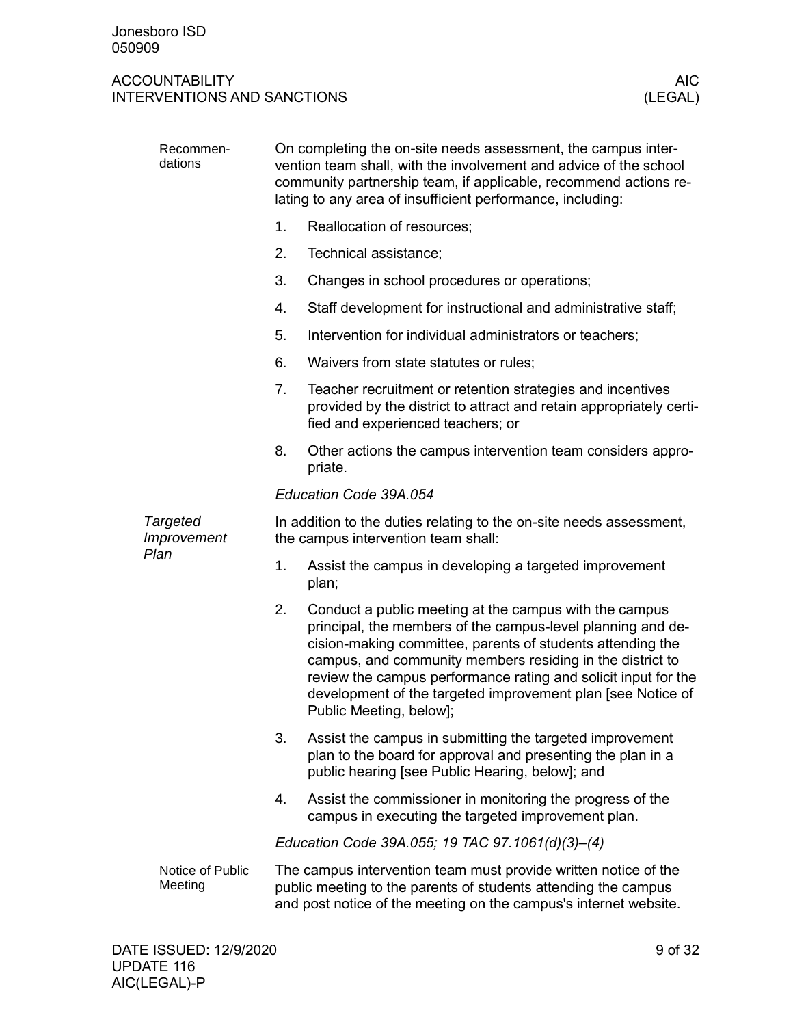| Recommen-<br>dations                   | On completing the on-site needs assessment, the campus inter-<br>vention team shall, with the involvement and advice of the school<br>community partnership team, if applicable, recommend actions re-<br>lating to any area of insufficient performance, including: |                                                                                                                                                                                                                                                                                                                                                                                                              |  |  |  |  |
|----------------------------------------|----------------------------------------------------------------------------------------------------------------------------------------------------------------------------------------------------------------------------------------------------------------------|--------------------------------------------------------------------------------------------------------------------------------------------------------------------------------------------------------------------------------------------------------------------------------------------------------------------------------------------------------------------------------------------------------------|--|--|--|--|
|                                        | 1.                                                                                                                                                                                                                                                                   | Reallocation of resources;                                                                                                                                                                                                                                                                                                                                                                                   |  |  |  |  |
|                                        | 2.                                                                                                                                                                                                                                                                   | Technical assistance;                                                                                                                                                                                                                                                                                                                                                                                        |  |  |  |  |
|                                        | 3.                                                                                                                                                                                                                                                                   | Changes in school procedures or operations;                                                                                                                                                                                                                                                                                                                                                                  |  |  |  |  |
|                                        | 4.                                                                                                                                                                                                                                                                   | Staff development for instructional and administrative staff;                                                                                                                                                                                                                                                                                                                                                |  |  |  |  |
|                                        | 5.                                                                                                                                                                                                                                                                   | Intervention for individual administrators or teachers;                                                                                                                                                                                                                                                                                                                                                      |  |  |  |  |
|                                        | 6.                                                                                                                                                                                                                                                                   | Waivers from state statutes or rules;                                                                                                                                                                                                                                                                                                                                                                        |  |  |  |  |
|                                        | 7.                                                                                                                                                                                                                                                                   | Teacher recruitment or retention strategies and incentives<br>provided by the district to attract and retain appropriately certi-<br>fied and experienced teachers; or                                                                                                                                                                                                                                       |  |  |  |  |
|                                        | 8.                                                                                                                                                                                                                                                                   | Other actions the campus intervention team considers appro-<br>priate.                                                                                                                                                                                                                                                                                                                                       |  |  |  |  |
|                                        |                                                                                                                                                                                                                                                                      | Education Code 39A.054                                                                                                                                                                                                                                                                                                                                                                                       |  |  |  |  |
| <b>Targeted</b><br>Improvement<br>Plan |                                                                                                                                                                                                                                                                      | In addition to the duties relating to the on-site needs assessment,<br>the campus intervention team shall:                                                                                                                                                                                                                                                                                                   |  |  |  |  |
|                                        | 1.                                                                                                                                                                                                                                                                   | Assist the campus in developing a targeted improvement<br>plan;                                                                                                                                                                                                                                                                                                                                              |  |  |  |  |
|                                        | 2.                                                                                                                                                                                                                                                                   | Conduct a public meeting at the campus with the campus<br>principal, the members of the campus-level planning and de-<br>cision-making committee, parents of students attending the<br>campus, and community members residing in the district to<br>review the campus performance rating and solicit input for the<br>development of the targeted improvement plan [see Notice of<br>Public Meeting, below]; |  |  |  |  |
|                                        | 3.                                                                                                                                                                                                                                                                   | Assist the campus in submitting the targeted improvement<br>plan to the board for approval and presenting the plan in a<br>public hearing [see Public Hearing, below]; and                                                                                                                                                                                                                                   |  |  |  |  |
|                                        | 4.                                                                                                                                                                                                                                                                   | Assist the commissioner in monitoring the progress of the<br>campus in executing the targeted improvement plan.                                                                                                                                                                                                                                                                                              |  |  |  |  |
|                                        | Education Code 39A.055; 19 TAC 97.1061(d)(3)-(4)                                                                                                                                                                                                                     |                                                                                                                                                                                                                                                                                                                                                                                                              |  |  |  |  |
| Notice of Public<br>Meeting            |                                                                                                                                                                                                                                                                      | The campus intervention team must provide written notice of the<br>public meeting to the parents of students attending the campus<br>and post notice of the meeting on the campus's internet website.                                                                                                                                                                                                        |  |  |  |  |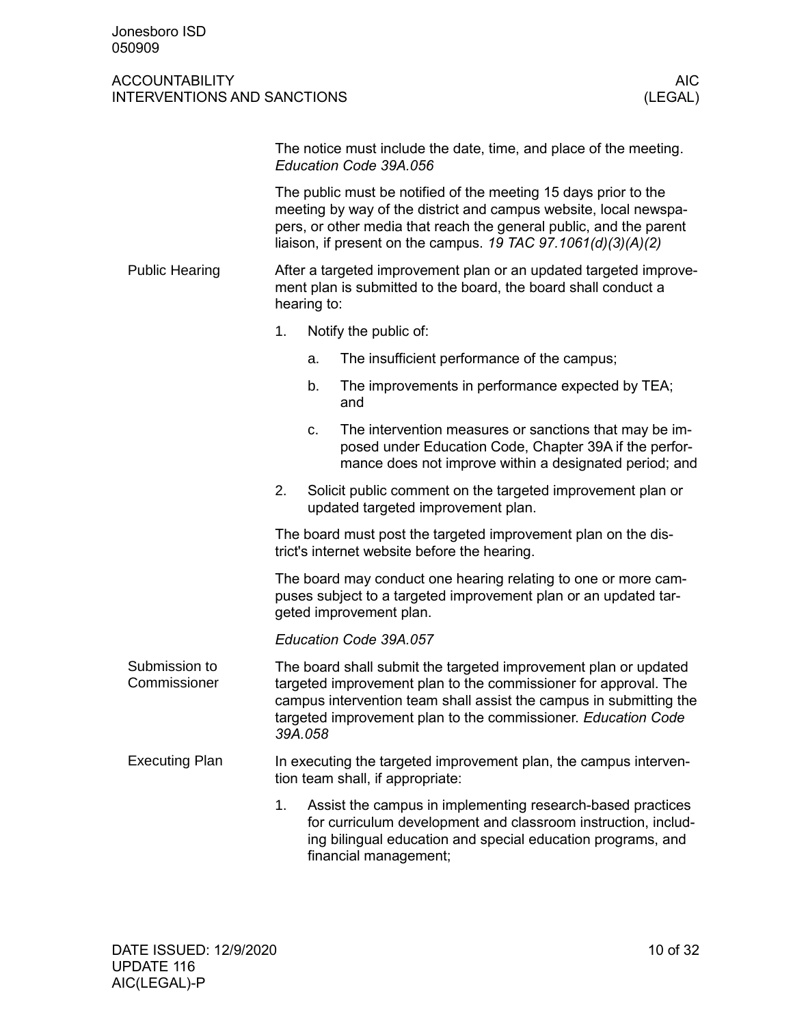<span id="page-9-2"></span><span id="page-9-1"></span><span id="page-9-0"></span>

|                               | The notice must include the date, time, and place of the meeting.<br>Education Code 39A.056                                                                                                                                                                                          |                       |                                                                                                                                                                                                                     |  |  |  |
|-------------------------------|--------------------------------------------------------------------------------------------------------------------------------------------------------------------------------------------------------------------------------------------------------------------------------------|-----------------------|---------------------------------------------------------------------------------------------------------------------------------------------------------------------------------------------------------------------|--|--|--|
|                               | The public must be notified of the meeting 15 days prior to the<br>meeting by way of the district and campus website, local newspa-<br>pers, or other media that reach the general public, and the parent<br>liaison, if present on the campus. 19 TAC 97.1061(d)(3)(A)(2)           |                       |                                                                                                                                                                                                                     |  |  |  |
| <b>Public Hearing</b>         | After a targeted improvement plan or an updated targeted improve-<br>ment plan is submitted to the board, the board shall conduct a<br>hearing to:                                                                                                                                   |                       |                                                                                                                                                                                                                     |  |  |  |
|                               | 1.                                                                                                                                                                                                                                                                                   | Notify the public of: |                                                                                                                                                                                                                     |  |  |  |
|                               |                                                                                                                                                                                                                                                                                      | a.                    | The insufficient performance of the campus;                                                                                                                                                                         |  |  |  |
|                               |                                                                                                                                                                                                                                                                                      | b.                    | The improvements in performance expected by TEA;<br>and                                                                                                                                                             |  |  |  |
|                               |                                                                                                                                                                                                                                                                                      | c.                    | The intervention measures or sanctions that may be im-<br>posed under Education Code, Chapter 39A if the perfor-<br>mance does not improve within a designated period; and                                          |  |  |  |
|                               | 2.                                                                                                                                                                                                                                                                                   |                       | Solicit public comment on the targeted improvement plan or<br>updated targeted improvement plan.                                                                                                                    |  |  |  |
|                               | The board must post the targeted improvement plan on the dis-<br>trict's internet website before the hearing.                                                                                                                                                                        |                       |                                                                                                                                                                                                                     |  |  |  |
|                               | The board may conduct one hearing relating to one or more cam-<br>puses subject to a targeted improvement plan or an updated tar-<br>geted improvement plan.                                                                                                                         |                       |                                                                                                                                                                                                                     |  |  |  |
|                               |                                                                                                                                                                                                                                                                                      |                       | Education Code 39A.057                                                                                                                                                                                              |  |  |  |
| Submission to<br>Commissioner | The board shall submit the targeted improvement plan or updated<br>targeted improvement plan to the commissioner for approval. The<br>campus intervention team shall assist the campus in submitting the<br>targeted improvement plan to the commissioner. Education Code<br>39A.058 |                       |                                                                                                                                                                                                                     |  |  |  |
| <b>Executing Plan</b>         |                                                                                                                                                                                                                                                                                      |                       | In executing the targeted improvement plan, the campus interven-<br>tion team shall, if appropriate:                                                                                                                |  |  |  |
|                               | 1.                                                                                                                                                                                                                                                                                   |                       | Assist the campus in implementing research-based practices<br>for curriculum development and classroom instruction, includ-<br>ing bilingual education and special education programs, and<br>financial management; |  |  |  |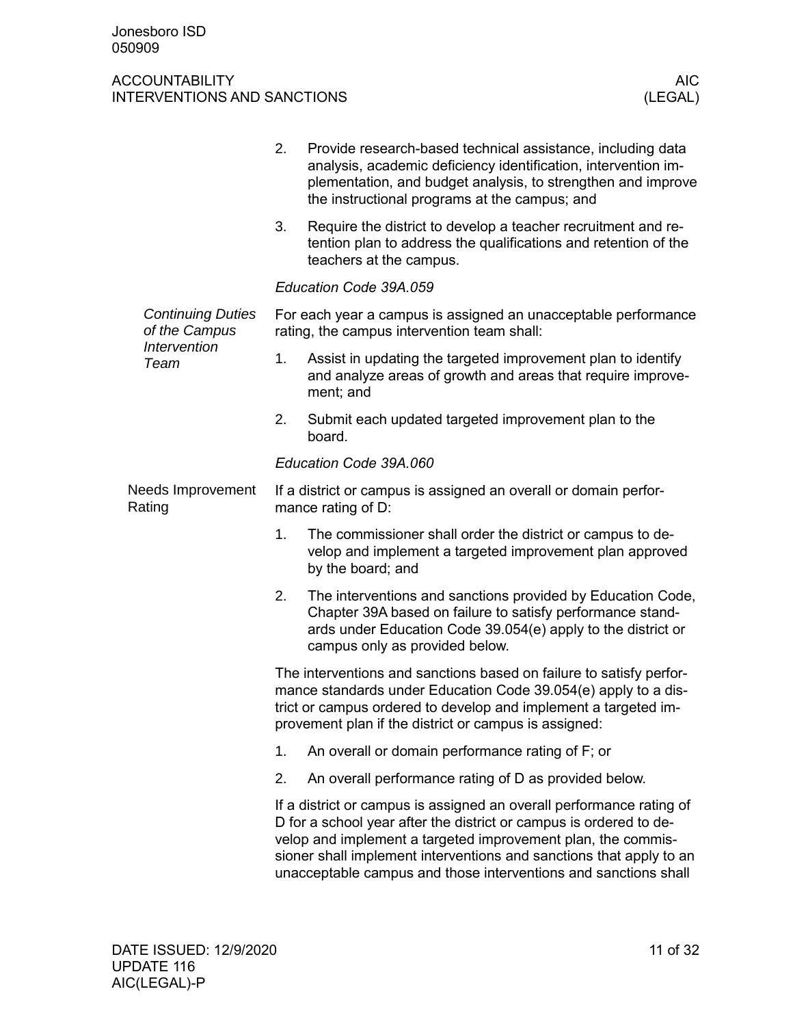<span id="page-10-0"></span>

|                                                           | 2.                                                                                                                                                                                                                                                                                                                                                   | Provide research-based technical assistance, including data<br>analysis, academic deficiency identification, intervention im-<br>plementation, and budget analysis, to strengthen and improve<br>the instructional programs at the campus; and |  |  |  |  |
|-----------------------------------------------------------|------------------------------------------------------------------------------------------------------------------------------------------------------------------------------------------------------------------------------------------------------------------------------------------------------------------------------------------------------|------------------------------------------------------------------------------------------------------------------------------------------------------------------------------------------------------------------------------------------------|--|--|--|--|
|                                                           | 3.                                                                                                                                                                                                                                                                                                                                                   | Require the district to develop a teacher recruitment and re-<br>tention plan to address the qualifications and retention of the<br>teachers at the campus.                                                                                    |  |  |  |  |
|                                                           | Education Code 39A.059                                                                                                                                                                                                                                                                                                                               |                                                                                                                                                                                                                                                |  |  |  |  |
| <b>Continuing Duties</b><br>of the Campus<br>Intervention | For each year a campus is assigned an unacceptable performance<br>rating, the campus intervention team shall:                                                                                                                                                                                                                                        |                                                                                                                                                                                                                                                |  |  |  |  |
| Team                                                      | 1.                                                                                                                                                                                                                                                                                                                                                   | Assist in updating the targeted improvement plan to identify<br>and analyze areas of growth and areas that require improve-<br>ment; and                                                                                                       |  |  |  |  |
|                                                           | 2.                                                                                                                                                                                                                                                                                                                                                   | Submit each updated targeted improvement plan to the<br>board.                                                                                                                                                                                 |  |  |  |  |
|                                                           |                                                                                                                                                                                                                                                                                                                                                      | Education Code 39A.060                                                                                                                                                                                                                         |  |  |  |  |
| Needs Improvement<br>Rating                               | If a district or campus is assigned an overall or domain perfor-<br>mance rating of D:                                                                                                                                                                                                                                                               |                                                                                                                                                                                                                                                |  |  |  |  |
|                                                           | 1.                                                                                                                                                                                                                                                                                                                                                   | The commissioner shall order the district or campus to de-<br>velop and implement a targeted improvement plan approved<br>by the board; and                                                                                                    |  |  |  |  |
|                                                           | 2.                                                                                                                                                                                                                                                                                                                                                   | The interventions and sanctions provided by Education Code,<br>Chapter 39A based on failure to satisfy performance stand-<br>ards under Education Code 39.054(e) apply to the district or<br>campus only as provided below.                    |  |  |  |  |
|                                                           | The interventions and sanctions based on failure to satisfy perfor-<br>mance standards under Education Code 39.054(e) apply to a dis-<br>trict or campus ordered to develop and implement a targeted im-<br>provement plan if the district or campus is assigned:                                                                                    |                                                                                                                                                                                                                                                |  |  |  |  |
|                                                           | 1.                                                                                                                                                                                                                                                                                                                                                   | An overall or domain performance rating of F; or                                                                                                                                                                                               |  |  |  |  |
|                                                           | 2.                                                                                                                                                                                                                                                                                                                                                   | An overall performance rating of D as provided below.                                                                                                                                                                                          |  |  |  |  |
|                                                           | If a district or campus is assigned an overall performance rating of<br>D for a school year after the district or campus is ordered to de-<br>velop and implement a targeted improvement plan, the commis-<br>sioner shall implement interventions and sanctions that apply to an<br>unacceptable campus and those interventions and sanctions shall |                                                                                                                                                                                                                                                |  |  |  |  |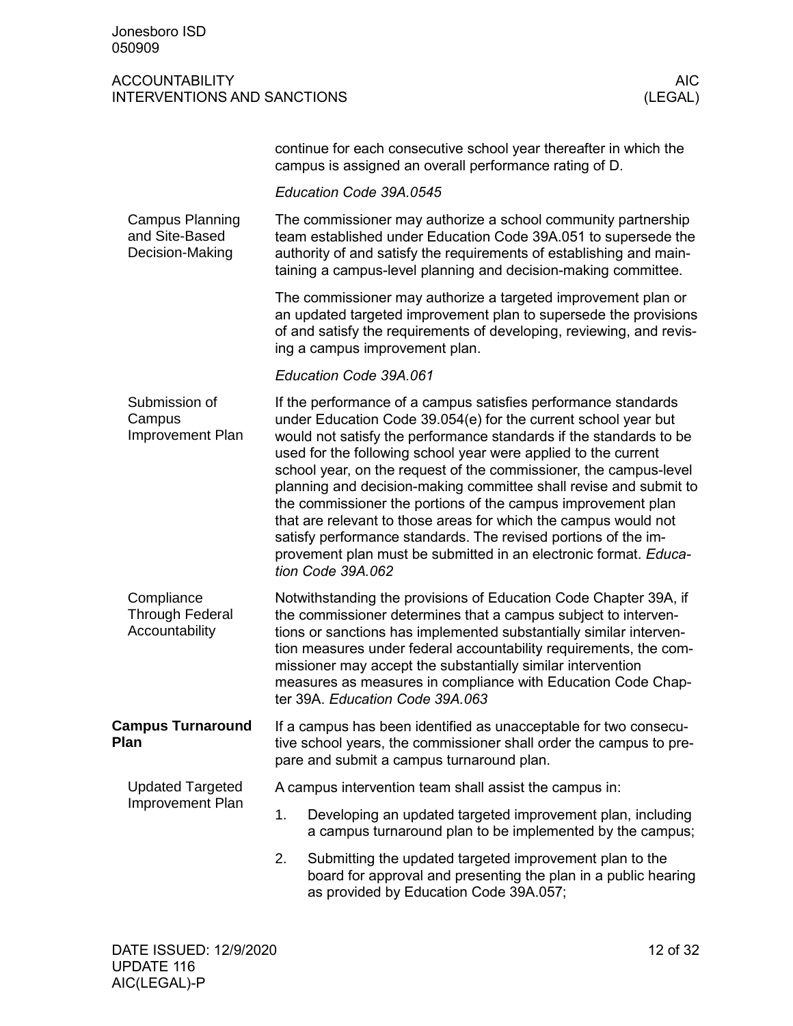<span id="page-11-4"></span><span id="page-11-3"></span><span id="page-11-2"></span><span id="page-11-1"></span><span id="page-11-0"></span>

|                                                             | continue for each consecutive school year thereafter in which the<br>campus is assigned an overall performance rating of D.                                                                                                                                                                                                                                                                                                                                                                                                                                                                                                                                                                                      |  |  |  |  |  |
|-------------------------------------------------------------|------------------------------------------------------------------------------------------------------------------------------------------------------------------------------------------------------------------------------------------------------------------------------------------------------------------------------------------------------------------------------------------------------------------------------------------------------------------------------------------------------------------------------------------------------------------------------------------------------------------------------------------------------------------------------------------------------------------|--|--|--|--|--|
|                                                             | Education Code 39A.0545                                                                                                                                                                                                                                                                                                                                                                                                                                                                                                                                                                                                                                                                                          |  |  |  |  |  |
| <b>Campus Planning</b><br>and Site-Based<br>Decision-Making | The commissioner may authorize a school community partnership<br>team established under Education Code 39A.051 to supersede the<br>authority of and satisfy the requirements of establishing and main-<br>taining a campus-level planning and decision-making committee.                                                                                                                                                                                                                                                                                                                                                                                                                                         |  |  |  |  |  |
|                                                             | The commissioner may authorize a targeted improvement plan or<br>an updated targeted improvement plan to supersede the provisions<br>of and satisfy the requirements of developing, reviewing, and revis-<br>ing a campus improvement plan.                                                                                                                                                                                                                                                                                                                                                                                                                                                                      |  |  |  |  |  |
|                                                             | Education Code 39A.061                                                                                                                                                                                                                                                                                                                                                                                                                                                                                                                                                                                                                                                                                           |  |  |  |  |  |
| Submission of<br>Campus<br>Improvement Plan                 | If the performance of a campus satisfies performance standards<br>under Education Code 39.054(e) for the current school year but<br>would not satisfy the performance standards if the standards to be<br>used for the following school year were applied to the current<br>school year, on the request of the commissioner, the campus-level<br>planning and decision-making committee shall revise and submit to<br>the commissioner the portions of the campus improvement plan<br>that are relevant to those areas for which the campus would not<br>satisfy performance standards. The revised portions of the im-<br>provement plan must be submitted in an electronic format. Educa-<br>tion Code 39A.062 |  |  |  |  |  |
| Compliance<br><b>Through Federal</b><br>Accountability      | Notwithstanding the provisions of Education Code Chapter 39A, if<br>the commissioner determines that a campus subject to interven-<br>tions or sanctions has implemented substantially similar interven-<br>tion measures under federal accountability requirements, the com-<br>missioner may accept the substantially similar intervention<br>measures as measures in compliance with Education Code Chap-<br>ter 39A. Education Code 39A.063                                                                                                                                                                                                                                                                  |  |  |  |  |  |
| <b>Campus Turnaround</b><br>Plan                            | If a campus has been identified as unacceptable for two consecu-<br>tive school years, the commissioner shall order the campus to pre-<br>pare and submit a campus turnaround plan.                                                                                                                                                                                                                                                                                                                                                                                                                                                                                                                              |  |  |  |  |  |
| <b>Updated Targeted</b><br>Improvement Plan                 | A campus intervention team shall assist the campus in:                                                                                                                                                                                                                                                                                                                                                                                                                                                                                                                                                                                                                                                           |  |  |  |  |  |
|                                                             | 1.<br>Developing an updated targeted improvement plan, including<br>a campus turnaround plan to be implemented by the campus;                                                                                                                                                                                                                                                                                                                                                                                                                                                                                                                                                                                    |  |  |  |  |  |
|                                                             | 2.<br>Submitting the updated targeted improvement plan to the<br>board for approval and presenting the plan in a public hearing<br>as provided by Education Code 39A.057;                                                                                                                                                                                                                                                                                                                                                                                                                                                                                                                                        |  |  |  |  |  |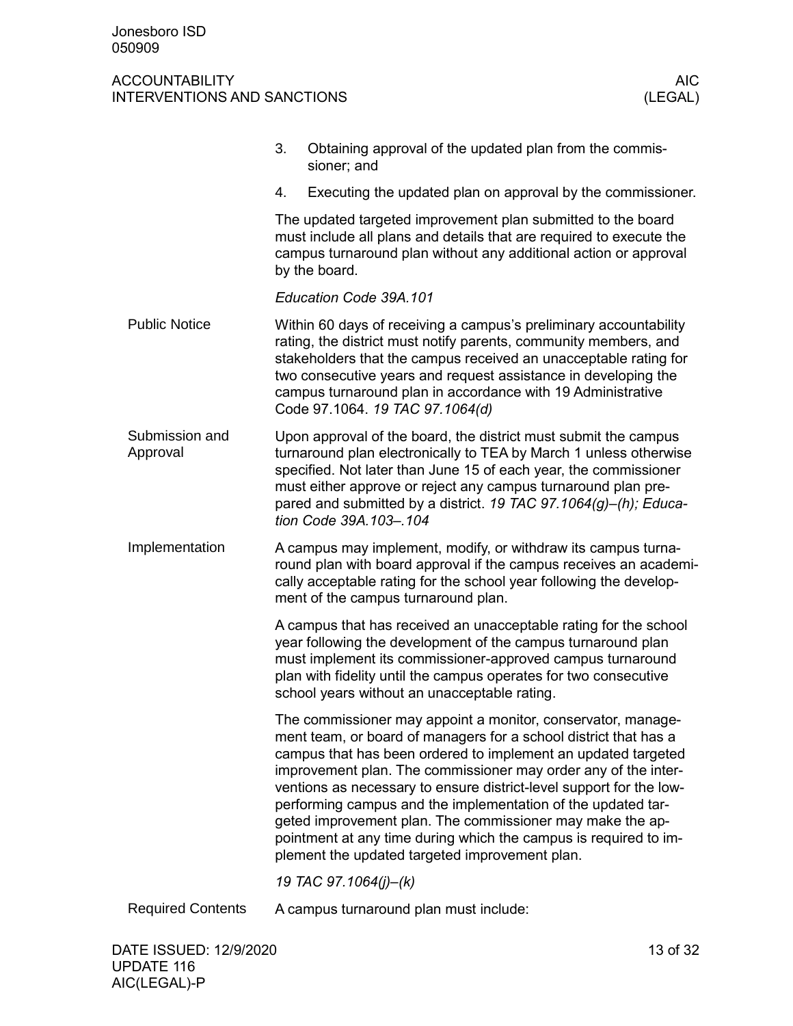<span id="page-12-3"></span><span id="page-12-2"></span><span id="page-12-1"></span><span id="page-12-0"></span>

| 3.<br>Obtaining approval of the updated plan from the commis-<br>sioner; and                                                                                                                                                                                                                                                                                                             |
|------------------------------------------------------------------------------------------------------------------------------------------------------------------------------------------------------------------------------------------------------------------------------------------------------------------------------------------------------------------------------------------|
| Executing the updated plan on approval by the commissioner.<br>4.                                                                                                                                                                                                                                                                                                                        |
| The updated targeted improvement plan submitted to the board<br>must include all plans and details that are required to execute the<br>campus turnaround plan without any additional action or approval<br>by the board.                                                                                                                                                                 |
| Education Code 39A.101                                                                                                                                                                                                                                                                                                                                                                   |
| Within 60 days of receiving a campus's preliminary accountability<br>rating, the district must notify parents, community members, and<br>stakeholders that the campus received an unacceptable rating for<br>two consecutive years and request assistance in developing the<br>campus turnaround plan in accordance with 19 Administrative<br>Code 97.1064. 19 TAC 97.1064(d)            |
| Upon approval of the board, the district must submit the campus<br>turnaround plan electronically to TEA by March 1 unless otherwise<br>specified. Not later than June 15 of each year, the commissioner<br>must either approve or reject any campus turnaround plan pre-<br>pared and submitted by a district. 19 TAC 97.1064(g)-(h); Educa-<br>tion Code 39A.103-.104                  |
| A campus may implement, modify, or withdraw its campus turna-<br>round plan with board approval if the campus receives an academi-<br>cally acceptable rating for the school year following the develop-<br>ment of the campus turnaround plan.                                                                                                                                          |
| A campus that has received an unacceptable rating for the school<br>year following the development of the campus turnaround plan<br>must implement its commissioner-approved campus turnaround<br>plan with fidelity until the campus operates for two consecutive<br>school years without an unacceptable rating.                                                                       |
| The commissioner may appoint a monitor, conservator, manage-<br>ment team, or board of managers for a school district that has a<br>campus that has been ordered to implement an updated targeted                                                                                                                                                                                        |
| improvement plan. The commissioner may order any of the inter-<br>ventions as necessary to ensure district-level support for the low-<br>performing campus and the implementation of the updated tar-<br>geted improvement plan. The commissioner may make the ap-<br>pointment at any time during which the campus is required to im-<br>plement the updated targeted improvement plan. |
| 19 TAC 97.1064(j)-(k)                                                                                                                                                                                                                                                                                                                                                                    |
|                                                                                                                                                                                                                                                                                                                                                                                          |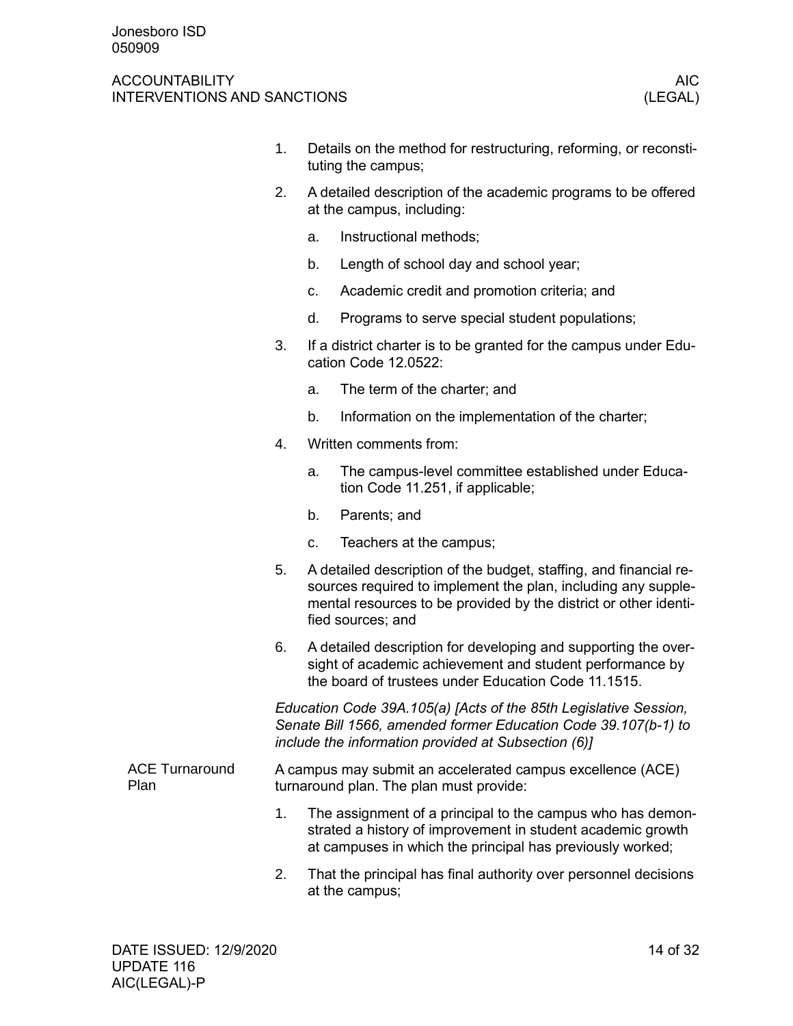<span id="page-13-0"></span>

|                               | 1. | Details on the method for restructuring, reforming, or reconsti-<br>tuting the campus;                |                                                                                                                                                                                                                             |  |  |
|-------------------------------|----|-------------------------------------------------------------------------------------------------------|-----------------------------------------------------------------------------------------------------------------------------------------------------------------------------------------------------------------------------|--|--|
|                               | 2. | A detailed description of the academic programs to be offered<br>at the campus, including:            |                                                                                                                                                                                                                             |  |  |
|                               |    | a.                                                                                                    | Instructional methods;                                                                                                                                                                                                      |  |  |
|                               |    | b.                                                                                                    | Length of school day and school year;                                                                                                                                                                                       |  |  |
|                               |    | c.                                                                                                    | Academic credit and promotion criteria; and                                                                                                                                                                                 |  |  |
|                               |    | d.                                                                                                    | Programs to serve special student populations;                                                                                                                                                                              |  |  |
|                               | 3. |                                                                                                       | If a district charter is to be granted for the campus under Edu-<br>cation Code 12.0522:                                                                                                                                    |  |  |
|                               |    | a.                                                                                                    | The term of the charter; and                                                                                                                                                                                                |  |  |
|                               |    | b.                                                                                                    | Information on the implementation of the charter;                                                                                                                                                                           |  |  |
|                               | 4. | Written comments from:                                                                                |                                                                                                                                                                                                                             |  |  |
|                               |    | a.                                                                                                    | The campus-level committee established under Educa-<br>tion Code 11.251, if applicable;                                                                                                                                     |  |  |
|                               |    | b.                                                                                                    | Parents; and                                                                                                                                                                                                                |  |  |
|                               |    | c.                                                                                                    | Teachers at the campus;                                                                                                                                                                                                     |  |  |
|                               | 5. |                                                                                                       | A detailed description of the budget, staffing, and financial re-<br>sources required to implement the plan, including any supple-<br>mental resources to be provided by the district or other identi-<br>fied sources; and |  |  |
|                               | 6. |                                                                                                       | A detailed description for developing and supporting the over-<br>sight of academic achievement and student performance by<br>the board of trustees under Education Code 11.1515.                                           |  |  |
|                               |    |                                                                                                       | Education Code 39A.105(a) [Acts of the 85th Legislative Session,<br>Senate Bill 1566, amended former Education Code 39.107(b-1) to<br>include the information provided at Subsection (6)]                                   |  |  |
| <b>ACE Turnaround</b><br>Plan |    | A campus may submit an accelerated campus excellence (ACE)<br>turnaround plan. The plan must provide: |                                                                                                                                                                                                                             |  |  |
|                               | 1. |                                                                                                       | The assignment of a principal to the campus who has demon-<br>strated a history of improvement in student academic growth<br>at campuses in which the principal has previously worked;                                      |  |  |
|                               | 2. |                                                                                                       | That the principal has final authority over personnel decisions<br>at the campus;                                                                                                                                           |  |  |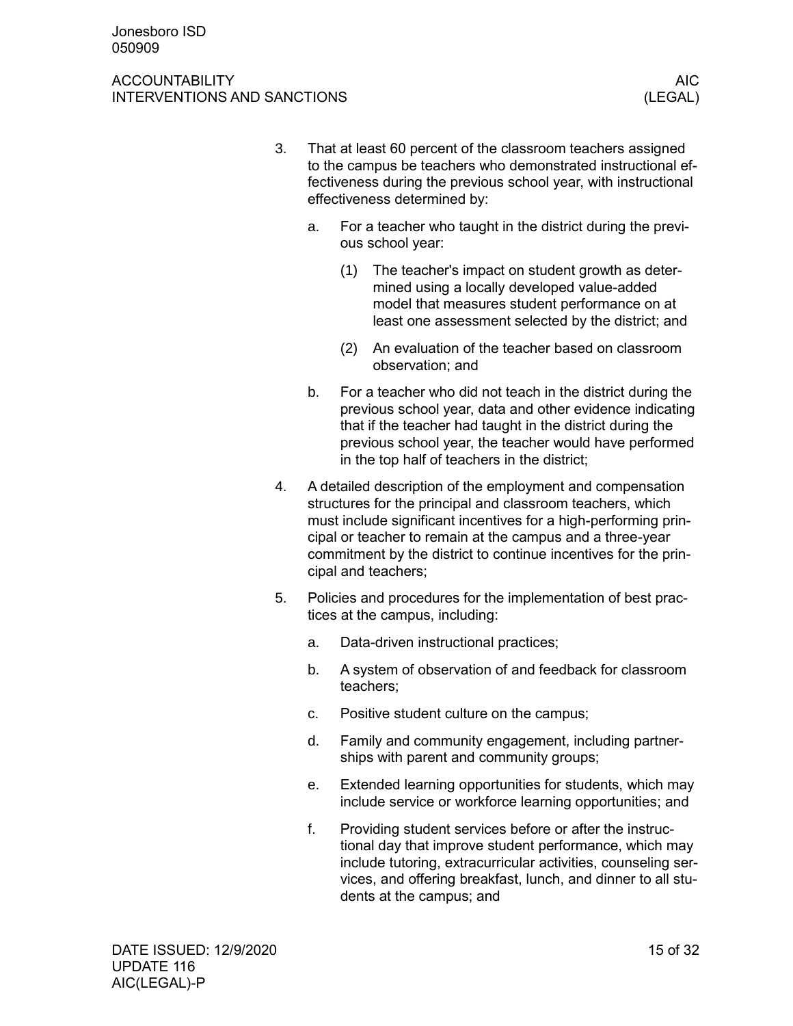#### ACCOUNTABILITY AND ALCOUNTABILITY INTERVENTIONS AND SANCTIONS (LEGAL)

- 3. That at least 60 percent of the classroom teachers assigned to the campus be teachers who demonstrated instructional effectiveness during the previous school year, with instructional effectiveness determined by:
	- a. For a teacher who taught in the district during the previous school year:
		- (1) The teacher's impact on student growth as determined using a locally developed value-added model that measures student performance on at least one assessment selected by the district; and
		- (2) An evaluation of the teacher based on classroom observation; and
	- b. For a teacher who did not teach in the district during the previous school year, data and other evidence indicating that if the teacher had taught in the district during the previous school year, the teacher would have performed in the top half of teachers in the district;
- 4. A detailed description of the employment and compensation structures for the principal and classroom teachers, which must include significant incentives for a high-performing principal or teacher to remain at the campus and a three-year commitment by the district to continue incentives for the principal and teachers;
- 5. Policies and procedures for the implementation of best practices at the campus, including:
	- a. Data-driven instructional practices;
	- b. A system of observation of and feedback for classroom teachers;
	- c. Positive student culture on the campus;
	- d. Family and community engagement, including partnerships with parent and community groups;
	- e. Extended learning opportunities for students, which may include service or workforce learning opportunities; and
	- f. Providing student services before or after the instructional day that improve student performance, which may include tutoring, extracurricular activities, counseling services, and offering breakfast, lunch, and dinner to all students at the campus; and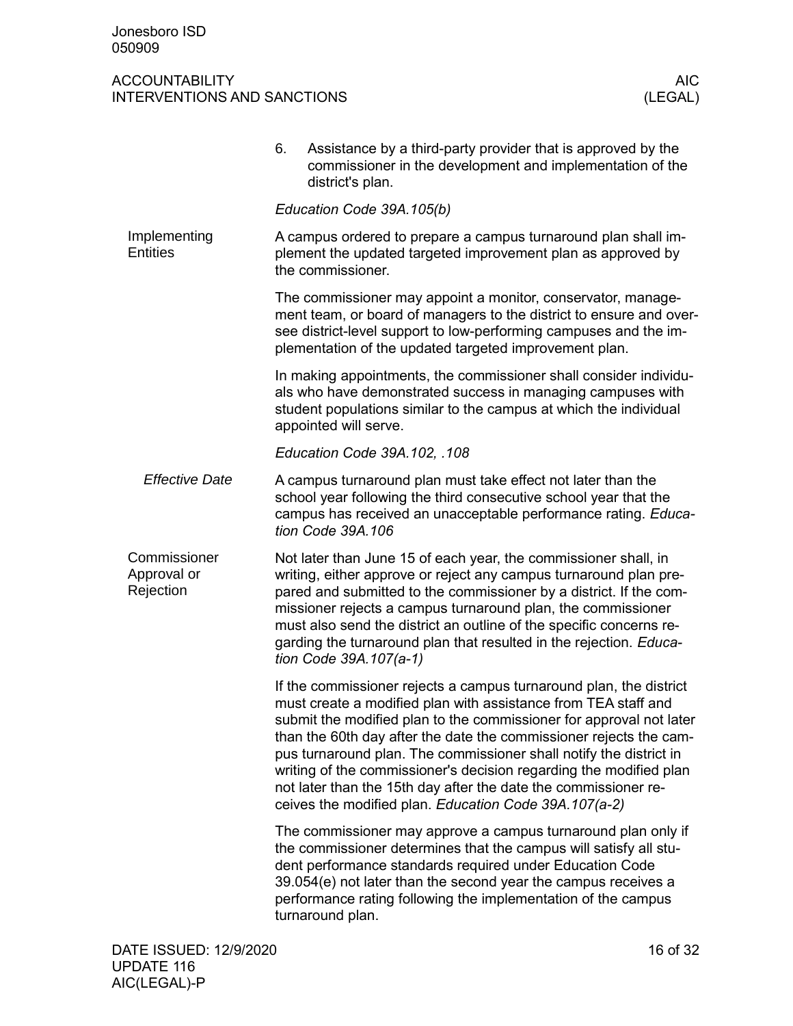<span id="page-15-1"></span><span id="page-15-0"></span>

|                                          | Assistance by a third-party provider that is approved by the<br>6.<br>commissioner in the development and implementation of the<br>district's plan.                                                                                                                                                                                                                                                                                                                                                                                                       |  |  |
|------------------------------------------|-----------------------------------------------------------------------------------------------------------------------------------------------------------------------------------------------------------------------------------------------------------------------------------------------------------------------------------------------------------------------------------------------------------------------------------------------------------------------------------------------------------------------------------------------------------|--|--|
|                                          | Education Code 39A.105(b)                                                                                                                                                                                                                                                                                                                                                                                                                                                                                                                                 |  |  |
| Implementing<br><b>Entities</b>          | A campus ordered to prepare a campus turnaround plan shall im-<br>plement the updated targeted improvement plan as approved by<br>the commissioner.                                                                                                                                                                                                                                                                                                                                                                                                       |  |  |
|                                          | The commissioner may appoint a monitor, conservator, manage-<br>ment team, or board of managers to the district to ensure and over-<br>see district-level support to low-performing campuses and the im-<br>plementation of the updated targeted improvement plan.                                                                                                                                                                                                                                                                                        |  |  |
|                                          | In making appointments, the commissioner shall consider individu-<br>als who have demonstrated success in managing campuses with<br>student populations similar to the campus at which the individual<br>appointed will serve.                                                                                                                                                                                                                                                                                                                            |  |  |
|                                          | Education Code 39A.102, .108                                                                                                                                                                                                                                                                                                                                                                                                                                                                                                                              |  |  |
| <b>Effective Date</b>                    | A campus turnaround plan must take effect not later than the<br>school year following the third consecutive school year that the<br>campus has received an unacceptable performance rating. Educa-<br>tion Code 39A.106                                                                                                                                                                                                                                                                                                                                   |  |  |
| Commissioner<br>Approval or<br>Rejection | Not later than June 15 of each year, the commissioner shall, in<br>writing, either approve or reject any campus turnaround plan pre-<br>pared and submitted to the commissioner by a district. If the com-<br>missioner rejects a campus turnaround plan, the commissioner<br>must also send the district an outline of the specific concerns re-<br>garding the turnaround plan that resulted in the rejection. Educa-<br>tion Code 39A.107(a-1)                                                                                                         |  |  |
|                                          | If the commissioner rejects a campus turnaround plan, the district<br>must create a modified plan with assistance from TEA staff and<br>submit the modified plan to the commissioner for approval not later<br>than the 60th day after the date the commissioner rejects the cam-<br>pus turnaround plan. The commissioner shall notify the district in<br>writing of the commissioner's decision regarding the modified plan<br>not later than the 15th day after the date the commissioner re-<br>ceives the modified plan. Education Code 39A.107(a-2) |  |  |
|                                          | The commissioner may approve a campus turnaround plan only if<br>the commissioner determines that the campus will satisfy all stu-<br>dent performance standards required under Education Code<br>39.054(e) not later than the second year the campus receives a<br>performance rating following the implementation of the campus<br>turnaround plan.                                                                                                                                                                                                     |  |  |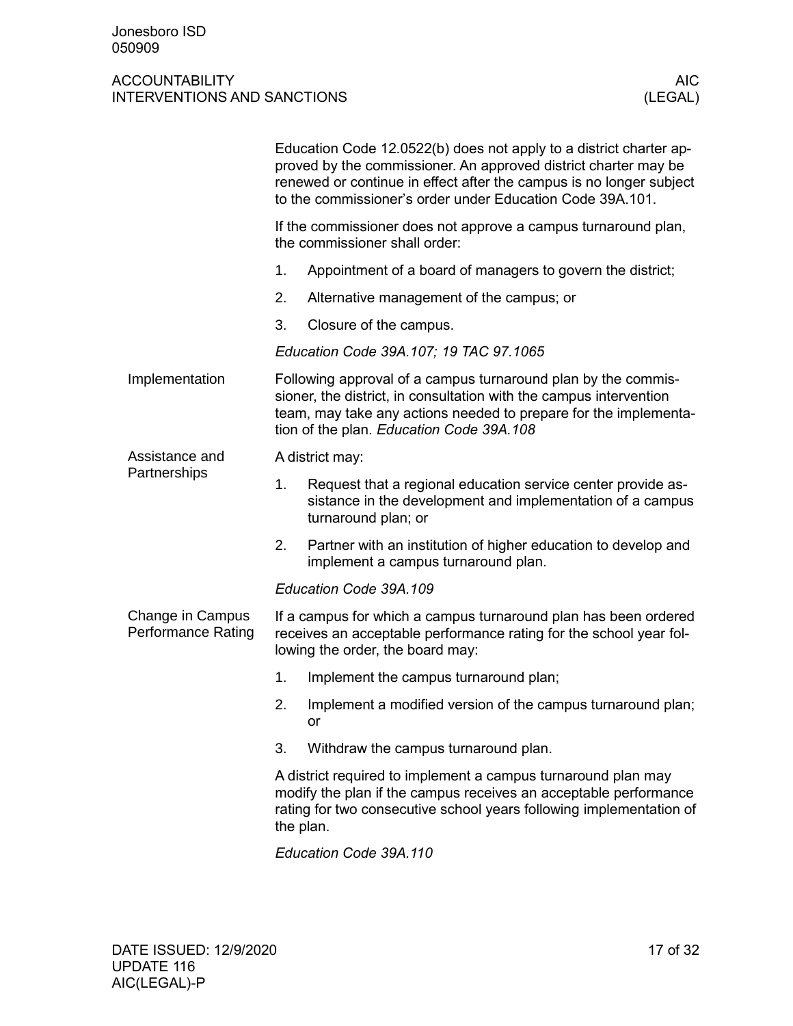<span id="page-16-2"></span><span id="page-16-1"></span><span id="page-16-0"></span>

|                                               | Education Code 12.0522(b) does not apply to a district charter ap-<br>proved by the commissioner. An approved district charter may be<br>renewed or continue in effect after the campus is no longer subject<br>to the commissioner's order under Education Code 39A.101. |  |  |  |
|-----------------------------------------------|---------------------------------------------------------------------------------------------------------------------------------------------------------------------------------------------------------------------------------------------------------------------------|--|--|--|
|                                               | If the commissioner does not approve a campus turnaround plan,<br>the commissioner shall order:                                                                                                                                                                           |  |  |  |
|                                               | 1.<br>Appointment of a board of managers to govern the district;                                                                                                                                                                                                          |  |  |  |
|                                               | 2.<br>Alternative management of the campus; or                                                                                                                                                                                                                            |  |  |  |
|                                               | 3.<br>Closure of the campus.                                                                                                                                                                                                                                              |  |  |  |
|                                               | Education Code 39A.107; 19 TAC 97.1065                                                                                                                                                                                                                                    |  |  |  |
| Implementation                                | Following approval of a campus turnaround plan by the commis-<br>sioner, the district, in consultation with the campus intervention<br>team, may take any actions needed to prepare for the implementa-<br>tion of the plan. Education Code 39A.108                       |  |  |  |
| Assistance and                                | A district may:                                                                                                                                                                                                                                                           |  |  |  |
| Partnerships                                  | 1.<br>Request that a regional education service center provide as-<br>sistance in the development and implementation of a campus<br>turnaround plan; or                                                                                                                   |  |  |  |
|                                               | 2.<br>Partner with an institution of higher education to develop and<br>implement a campus turnaround plan.                                                                                                                                                               |  |  |  |
|                                               | Education Code 39A.109                                                                                                                                                                                                                                                    |  |  |  |
| Change in Campus<br><b>Performance Rating</b> | If a campus for which a campus turnaround plan has been ordered<br>receives an acceptable performance rating for the school year fol-<br>lowing the order, the board may:                                                                                                 |  |  |  |
|                                               | 1.<br>Implement the campus turnaround plan;                                                                                                                                                                                                                               |  |  |  |
|                                               | 2.<br>Implement a modified version of the campus turnaround plan;<br>or                                                                                                                                                                                                   |  |  |  |
|                                               | Withdraw the campus turnaround plan.<br>3.                                                                                                                                                                                                                                |  |  |  |
|                                               | A district required to implement a campus turnaround plan may<br>modify the plan if the campus receives an acceptable performance<br>rating for two consecutive school years following implementation of<br>the plan.                                                     |  |  |  |
|                                               | Education Code 39A.110                                                                                                                                                                                                                                                    |  |  |  |
|                                               |                                                                                                                                                                                                                                                                           |  |  |  |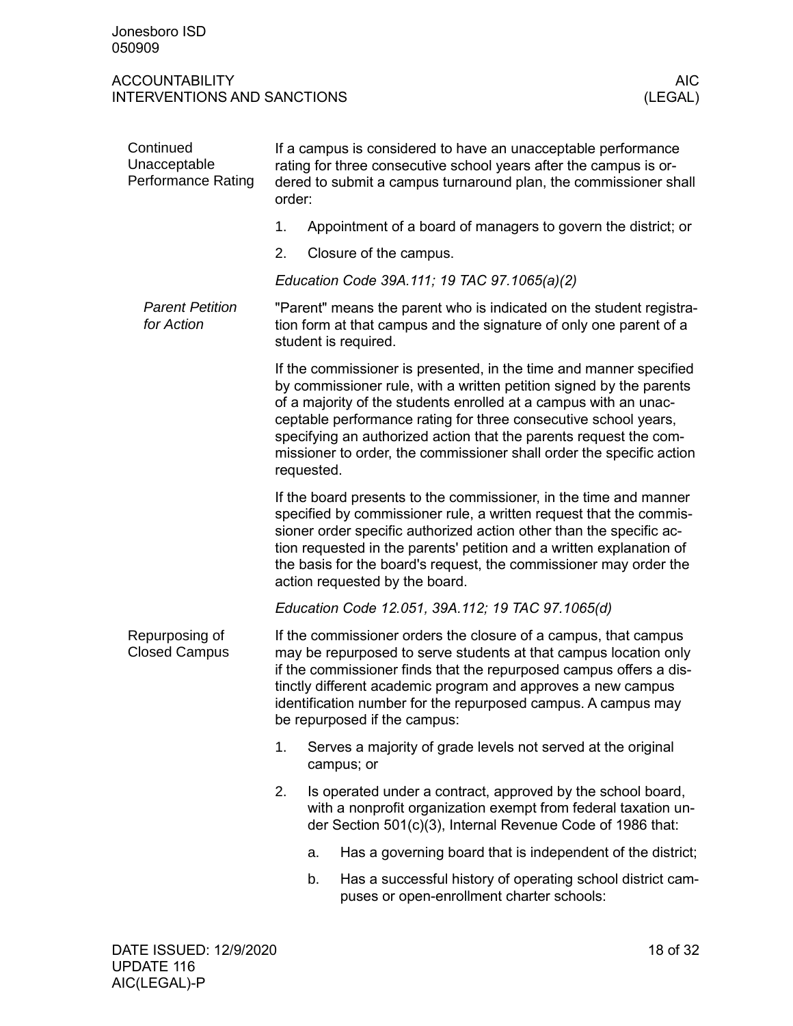<span id="page-17-1"></span><span id="page-17-0"></span>

| Continued<br>Unacceptable<br><b>Performance Rating</b> |    | If a campus is considered to have an unacceptable performance<br>rating for three consecutive school years after the campus is or-<br>dered to submit a campus turnaround plan, the commissioner shall<br>order: |                                                                                                                                                                                                                                                                                                                                                                                                                               |  |  |
|--------------------------------------------------------|----|------------------------------------------------------------------------------------------------------------------------------------------------------------------------------------------------------------------|-------------------------------------------------------------------------------------------------------------------------------------------------------------------------------------------------------------------------------------------------------------------------------------------------------------------------------------------------------------------------------------------------------------------------------|--|--|
|                                                        | 1. |                                                                                                                                                                                                                  | Appointment of a board of managers to govern the district; or                                                                                                                                                                                                                                                                                                                                                                 |  |  |
|                                                        | 2. |                                                                                                                                                                                                                  | Closure of the campus.                                                                                                                                                                                                                                                                                                                                                                                                        |  |  |
|                                                        |    |                                                                                                                                                                                                                  | Education Code 39A.111; 19 TAC 97.1065(a)(2)                                                                                                                                                                                                                                                                                                                                                                                  |  |  |
| <b>Parent Petition</b><br>for Action                   |    |                                                                                                                                                                                                                  | "Parent" means the parent who is indicated on the student registra-<br>tion form at that campus and the signature of only one parent of a<br>student is required.                                                                                                                                                                                                                                                             |  |  |
|                                                        |    | requested.                                                                                                                                                                                                       | If the commissioner is presented, in the time and manner specified<br>by commissioner rule, with a written petition signed by the parents<br>of a majority of the students enrolled at a campus with an unac-<br>ceptable performance rating for three consecutive school years,<br>specifying an authorized action that the parents request the com-<br>missioner to order, the commissioner shall order the specific action |  |  |
|                                                        |    |                                                                                                                                                                                                                  | If the board presents to the commissioner, in the time and manner<br>specified by commissioner rule, a written request that the commis-<br>sioner order specific authorized action other than the specific ac-<br>tion requested in the parents' petition and a written explanation of<br>the basis for the board's request, the commissioner may order the<br>action requested by the board.                                 |  |  |
|                                                        |    |                                                                                                                                                                                                                  | Education Code 12.051, 39A.112; 19 TAC 97.1065(d)                                                                                                                                                                                                                                                                                                                                                                             |  |  |
| Repurposing of<br><b>Closed Campus</b>                 |    |                                                                                                                                                                                                                  | If the commissioner orders the closure of a campus, that campus<br>may be repurposed to serve students at that campus location only<br>if the commissioner finds that the repurposed campus offers a dis-<br>tinctly different academic program and approves a new campus<br>identification number for the repurposed campus. A campus may<br>be repurposed if the campus:                                                    |  |  |
|                                                        | 1. |                                                                                                                                                                                                                  | Serves a majority of grade levels not served at the original<br>campus; or                                                                                                                                                                                                                                                                                                                                                    |  |  |
|                                                        | 2. |                                                                                                                                                                                                                  | Is operated under a contract, approved by the school board,<br>with a nonprofit organization exempt from federal taxation un-<br>der Section 501(c)(3), Internal Revenue Code of 1986 that:                                                                                                                                                                                                                                   |  |  |
|                                                        |    | a.                                                                                                                                                                                                               | Has a governing board that is independent of the district;                                                                                                                                                                                                                                                                                                                                                                    |  |  |
|                                                        |    | b.                                                                                                                                                                                                               | Has a successful history of operating school district cam-<br>puses or open-enrollment charter schools:                                                                                                                                                                                                                                                                                                                       |  |  |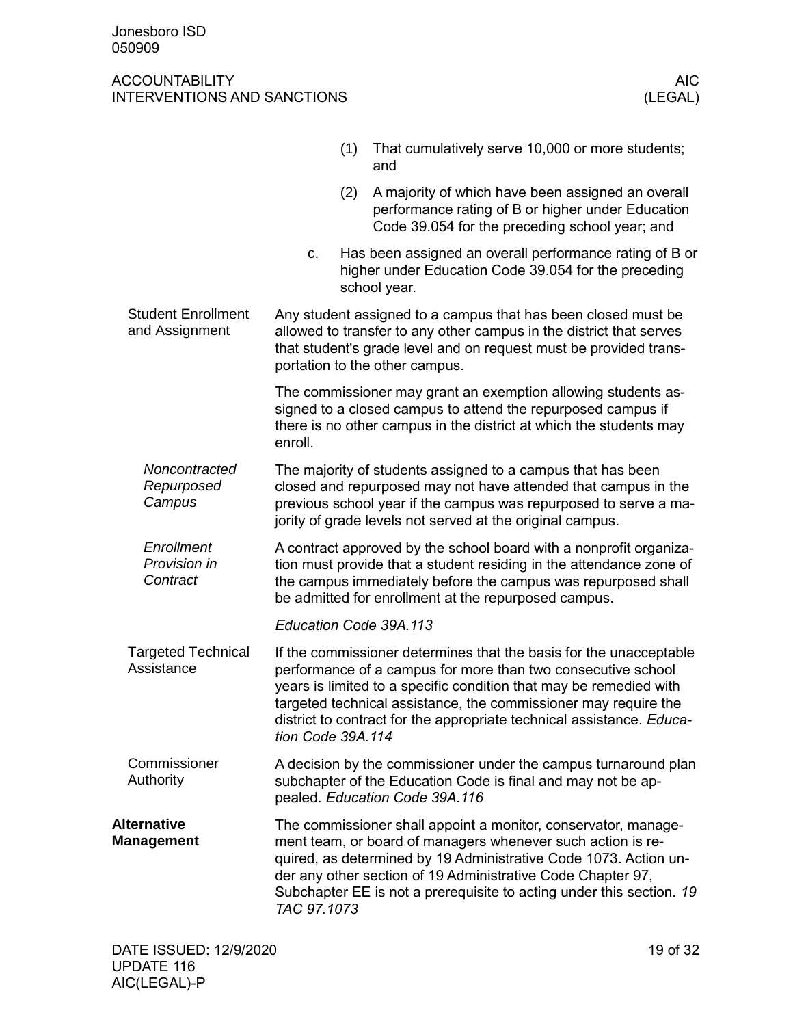<span id="page-18-3"></span><span id="page-18-2"></span><span id="page-18-1"></span><span id="page-18-0"></span>

|                                             |                   | (1) | That cumulatively serve 10,000 or more students;<br>and                                                                                                                                                                                                                                                                                              |
|---------------------------------------------|-------------------|-----|------------------------------------------------------------------------------------------------------------------------------------------------------------------------------------------------------------------------------------------------------------------------------------------------------------------------------------------------------|
|                                             |                   | (2) | A majority of which have been assigned an overall<br>performance rating of B or higher under Education<br>Code 39.054 for the preceding school year; and                                                                                                                                                                                             |
|                                             | C.                |     | Has been assigned an overall performance rating of B or<br>higher under Education Code 39.054 for the preceding<br>school year.                                                                                                                                                                                                                      |
| <b>Student Enrollment</b><br>and Assignment |                   |     | Any student assigned to a campus that has been closed must be<br>allowed to transfer to any other campus in the district that serves<br>that student's grade level and on request must be provided trans-<br>portation to the other campus.                                                                                                          |
|                                             | enroll.           |     | The commissioner may grant an exemption allowing students as-<br>signed to a closed campus to attend the repurposed campus if<br>there is no other campus in the district at which the students may                                                                                                                                                  |
| Noncontracted<br>Repurposed<br>Campus       |                   |     | The majority of students assigned to a campus that has been<br>closed and repurposed may not have attended that campus in the<br>previous school year if the campus was repurposed to serve a ma-<br>jority of grade levels not served at the original campus.                                                                                       |
| Enrollment<br>Provision in<br>Contract      |                   |     | A contract approved by the school board with a nonprofit organiza-<br>tion must provide that a student residing in the attendance zone of<br>the campus immediately before the campus was repurposed shall<br>be admitted for enrollment at the repurposed campus.                                                                                   |
|                                             |                   |     | Education Code 39A.113                                                                                                                                                                                                                                                                                                                               |
| <b>Targeted Technical</b><br>Assistance     | tion Code 39A.114 |     | If the commissioner determines that the basis for the unacceptable<br>performance of a campus for more than two consecutive school<br>years is limited to a specific condition that may be remedied with<br>targeted technical assistance, the commissioner may require the<br>district to contract for the appropriate technical assistance. Educa- |
| Commissioner<br>Authority                   |                   |     | A decision by the commissioner under the campus turnaround plan<br>subchapter of the Education Code is final and may not be ap-<br>pealed. Education Code 39A.116                                                                                                                                                                                    |
| <b>Alternative</b><br><b>Management</b>     | TAC 97.1073       |     | The commissioner shall appoint a monitor, conservator, manage-<br>ment team, or board of managers whenever such action is re-<br>quired, as determined by 19 Administrative Code 1073. Action un-<br>der any other section of 19 Administrative Code Chapter 97,<br>Subchapter EE is not a prerequisite to acting under this section. 19             |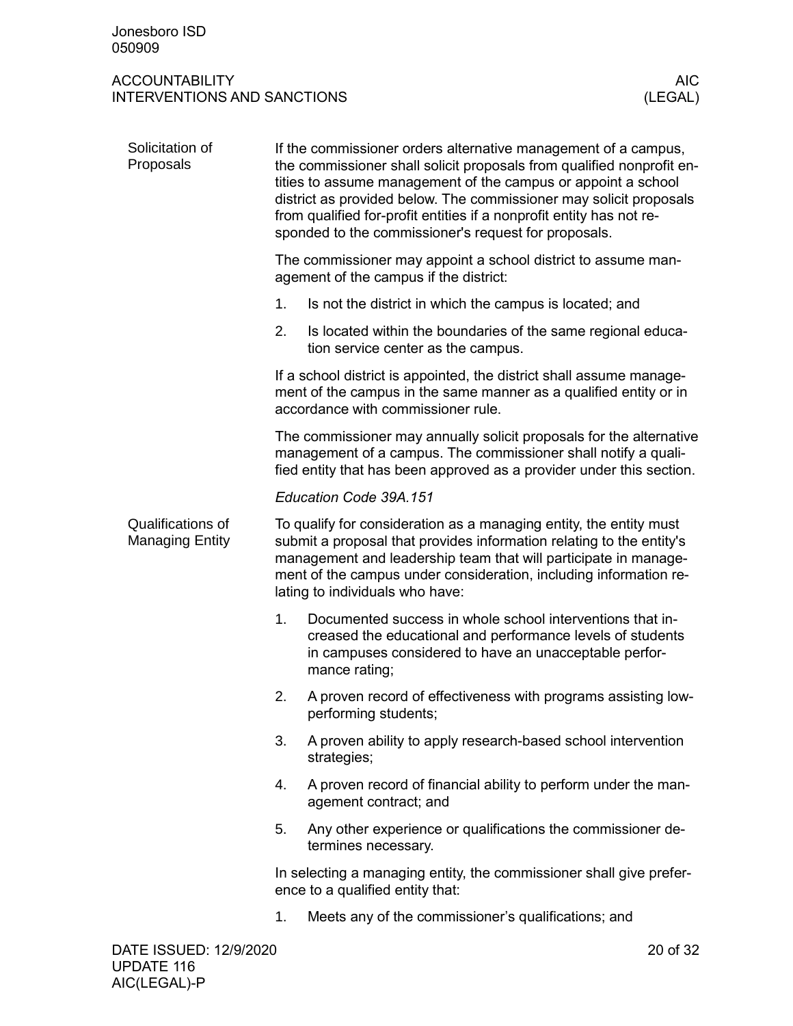<span id="page-19-1"></span><span id="page-19-0"></span>

| Solicitation of<br>Proposals                | If the commissioner orders alternative management of a campus,<br>the commissioner shall solicit proposals from qualified nonprofit en-<br>tities to assume management of the campus or appoint a school<br>district as provided below. The commissioner may solicit proposals<br>from qualified for-profit entities if a nonprofit entity has not re-<br>sponded to the commissioner's request for proposals. |                                                                                                                                                                                                    |  |  |  |  |
|---------------------------------------------|----------------------------------------------------------------------------------------------------------------------------------------------------------------------------------------------------------------------------------------------------------------------------------------------------------------------------------------------------------------------------------------------------------------|----------------------------------------------------------------------------------------------------------------------------------------------------------------------------------------------------|--|--|--|--|
|                                             |                                                                                                                                                                                                                                                                                                                                                                                                                | The commissioner may appoint a school district to assume man-<br>agement of the campus if the district:                                                                                            |  |  |  |  |
|                                             | 1.                                                                                                                                                                                                                                                                                                                                                                                                             | Is not the district in which the campus is located; and                                                                                                                                            |  |  |  |  |
|                                             | 2.                                                                                                                                                                                                                                                                                                                                                                                                             | Is located within the boundaries of the same regional educa-<br>tion service center as the campus.                                                                                                 |  |  |  |  |
|                                             | If a school district is appointed, the district shall assume manage-<br>ment of the campus in the same manner as a qualified entity or in<br>accordance with commissioner rule.                                                                                                                                                                                                                                |                                                                                                                                                                                                    |  |  |  |  |
|                                             | The commissioner may annually solicit proposals for the alternative<br>management of a campus. The commissioner shall notify a quali-<br>fied entity that has been approved as a provider under this section.                                                                                                                                                                                                  |                                                                                                                                                                                                    |  |  |  |  |
|                                             | Education Code 39A.151                                                                                                                                                                                                                                                                                                                                                                                         |                                                                                                                                                                                                    |  |  |  |  |
| Qualifications of<br><b>Managing Entity</b> | To qualify for consideration as a managing entity, the entity must<br>submit a proposal that provides information relating to the entity's<br>management and leadership team that will participate in manage-<br>ment of the campus under consideration, including information re-<br>lating to individuals who have:                                                                                          |                                                                                                                                                                                                    |  |  |  |  |
|                                             | 1.                                                                                                                                                                                                                                                                                                                                                                                                             | Documented success in whole school interventions that in-<br>creased the educational and performance levels of students<br>in campuses considered to have an unacceptable perfor-<br>mance rating; |  |  |  |  |
|                                             | 2.                                                                                                                                                                                                                                                                                                                                                                                                             | A proven record of effectiveness with programs assisting low-<br>performing students;                                                                                                              |  |  |  |  |
|                                             | 3.                                                                                                                                                                                                                                                                                                                                                                                                             | A proven ability to apply research-based school intervention<br>strategies;                                                                                                                        |  |  |  |  |
|                                             | 4.                                                                                                                                                                                                                                                                                                                                                                                                             | A proven record of financial ability to perform under the man-<br>agement contract; and                                                                                                            |  |  |  |  |
|                                             | 5.                                                                                                                                                                                                                                                                                                                                                                                                             | Any other experience or qualifications the commissioner de-<br>termines necessary.                                                                                                                 |  |  |  |  |
|                                             |                                                                                                                                                                                                                                                                                                                                                                                                                | In selecting a managing entity, the commissioner shall give prefer-<br>ence to a qualified entity that:                                                                                            |  |  |  |  |
|                                             | 1.                                                                                                                                                                                                                                                                                                                                                                                                             | Meets any of the commissioner's qualifications; and                                                                                                                                                |  |  |  |  |
| DATE ISSUED: 12/9/2020                      |                                                                                                                                                                                                                                                                                                                                                                                                                | 20 of 32                                                                                                                                                                                           |  |  |  |  |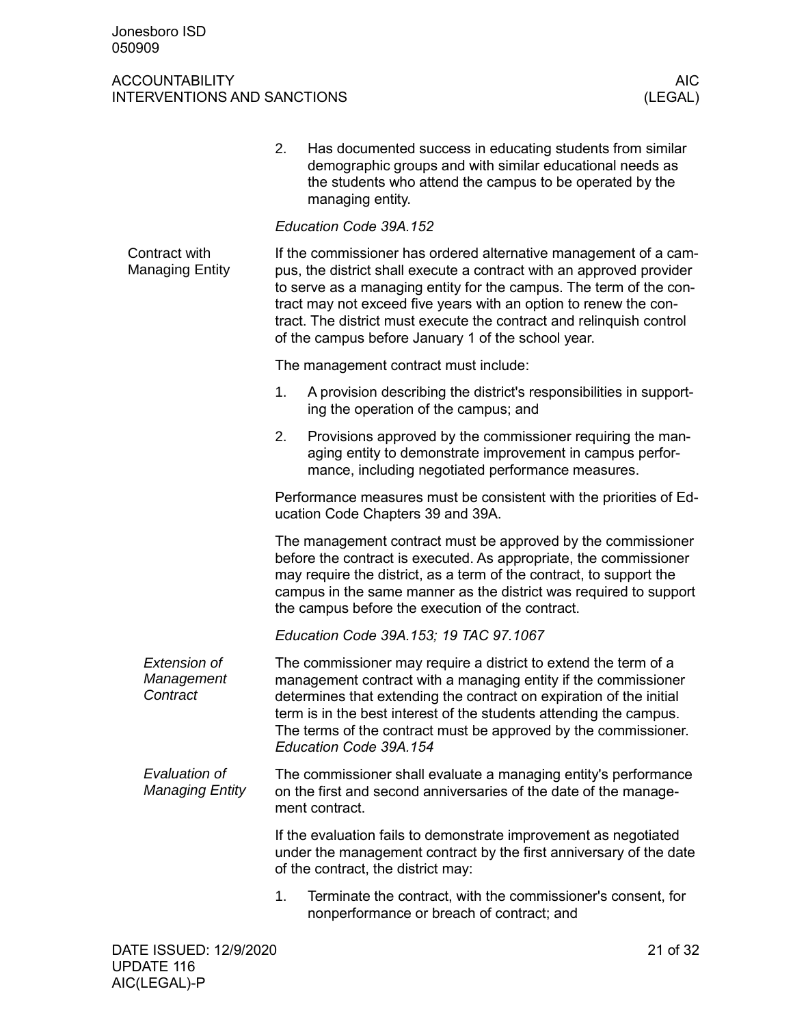<span id="page-20-0"></span>

|                                               | 2.                                                                                                                                                                                                                                                                                                                                                                                                               | Has documented success in educating students from similar<br>demographic groups and with similar educational needs as<br>the students who attend the campus to be operated by the<br>managing entity.                                                                                                                                                                       |  |  |
|-----------------------------------------------|------------------------------------------------------------------------------------------------------------------------------------------------------------------------------------------------------------------------------------------------------------------------------------------------------------------------------------------------------------------------------------------------------------------|-----------------------------------------------------------------------------------------------------------------------------------------------------------------------------------------------------------------------------------------------------------------------------------------------------------------------------------------------------------------------------|--|--|
|                                               |                                                                                                                                                                                                                                                                                                                                                                                                                  | Education Code 39A.152                                                                                                                                                                                                                                                                                                                                                      |  |  |
| Contract with<br><b>Managing Entity</b>       | If the commissioner has ordered alternative management of a cam-<br>pus, the district shall execute a contract with an approved provider<br>to serve as a managing entity for the campus. The term of the con-<br>tract may not exceed five years with an option to renew the con-<br>tract. The district must execute the contract and relinquish control<br>of the campus before January 1 of the school year. |                                                                                                                                                                                                                                                                                                                                                                             |  |  |
|                                               |                                                                                                                                                                                                                                                                                                                                                                                                                  | The management contract must include:                                                                                                                                                                                                                                                                                                                                       |  |  |
|                                               | 1.                                                                                                                                                                                                                                                                                                                                                                                                               | A provision describing the district's responsibilities in support-<br>ing the operation of the campus; and                                                                                                                                                                                                                                                                  |  |  |
|                                               | 2.                                                                                                                                                                                                                                                                                                                                                                                                               | Provisions approved by the commissioner requiring the man-<br>aging entity to demonstrate improvement in campus perfor-<br>mance, including negotiated performance measures.                                                                                                                                                                                                |  |  |
|                                               | Performance measures must be consistent with the priorities of Ed-<br>ucation Code Chapters 39 and 39A.                                                                                                                                                                                                                                                                                                          |                                                                                                                                                                                                                                                                                                                                                                             |  |  |
|                                               | The management contract must be approved by the commissioner<br>before the contract is executed. As appropriate, the commissioner<br>may require the district, as a term of the contract, to support the<br>campus in the same manner as the district was required to support<br>the campus before the execution of the contract.                                                                                |                                                                                                                                                                                                                                                                                                                                                                             |  |  |
|                                               | Education Code 39A.153; 19 TAC 97.1067                                                                                                                                                                                                                                                                                                                                                                           |                                                                                                                                                                                                                                                                                                                                                                             |  |  |
| <b>Extension of</b><br>Management<br>Contract |                                                                                                                                                                                                                                                                                                                                                                                                                  | The commissioner may require a district to extend the term of a<br>management contract with a managing entity if the commissioner<br>determines that extending the contract on expiration of the initial<br>term is in the best interest of the students attending the campus.<br>The terms of the contract must be approved by the commissioner.<br>Education Code 39A.154 |  |  |
| Evaluation of<br><b>Managing Entity</b>       |                                                                                                                                                                                                                                                                                                                                                                                                                  | The commissioner shall evaluate a managing entity's performance<br>on the first and second anniversaries of the date of the manage-<br>ment contract.                                                                                                                                                                                                                       |  |  |
|                                               |                                                                                                                                                                                                                                                                                                                                                                                                                  | If the evaluation fails to demonstrate improvement as negotiated<br>under the management contract by the first anniversary of the date<br>of the contract, the district may:                                                                                                                                                                                                |  |  |
|                                               | 1.                                                                                                                                                                                                                                                                                                                                                                                                               | Terminate the contract, with the commissioner's consent, for<br>nonperformance or breach of contract; and                                                                                                                                                                                                                                                                   |  |  |
| DATE ISSUED: 12/9/2020                        |                                                                                                                                                                                                                                                                                                                                                                                                                  | 21 of 32                                                                                                                                                                                                                                                                                                                                                                    |  |  |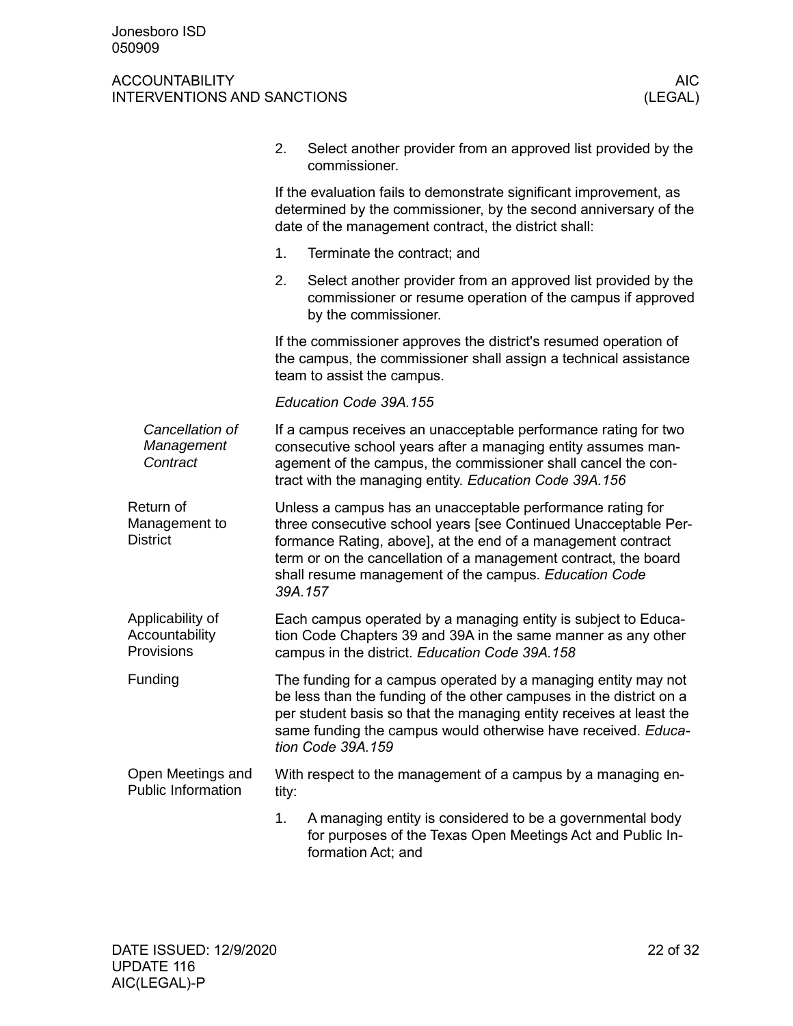<span id="page-21-3"></span><span id="page-21-2"></span><span id="page-21-1"></span><span id="page-21-0"></span>

|                                                  | 2.    | Select another provider from an approved list provided by the<br>commissioner.                                                                                                                                                                                                                                                       |
|--------------------------------------------------|-------|--------------------------------------------------------------------------------------------------------------------------------------------------------------------------------------------------------------------------------------------------------------------------------------------------------------------------------------|
|                                                  |       | If the evaluation fails to demonstrate significant improvement, as<br>determined by the commissioner, by the second anniversary of the<br>date of the management contract, the district shall:                                                                                                                                       |
|                                                  | 1.    | Terminate the contract; and                                                                                                                                                                                                                                                                                                          |
|                                                  | 2.    | Select another provider from an approved list provided by the<br>commissioner or resume operation of the campus if approved<br>by the commissioner.                                                                                                                                                                                  |
|                                                  |       | If the commissioner approves the district's resumed operation of<br>the campus, the commissioner shall assign a technical assistance<br>team to assist the campus.                                                                                                                                                                   |
|                                                  |       | Education Code 39A.155                                                                                                                                                                                                                                                                                                               |
| Cancellation of<br>Management<br>Contract        |       | If a campus receives an unacceptable performance rating for two<br>consecutive school years after a managing entity assumes man-<br>agement of the campus, the commissioner shall cancel the con-<br>tract with the managing entity. Education Code 39A.156                                                                          |
| Return of<br>Management to<br><b>District</b>    |       | Unless a campus has an unacceptable performance rating for<br>three consecutive school years [see Continued Unacceptable Per-<br>formance Rating, above], at the end of a management contract<br>term or on the cancellation of a management contract, the board<br>shall resume management of the campus. Education Code<br>39A.157 |
| Applicability of<br>Accountability<br>Provisions |       | Each campus operated by a managing entity is subject to Educa-<br>tion Code Chapters 39 and 39A in the same manner as any other<br>campus in the district. Education Code 39A.158                                                                                                                                                    |
| Funding                                          |       | The funding for a campus operated by a managing entity may not<br>be less than the funding of the other campuses in the district on a<br>per student basis so that the managing entity receives at least the<br>same funding the campus would otherwise have received. Educa-<br>tion Code 39A.159                                   |
| Open Meetings and<br><b>Public Information</b>   | tity: | With respect to the management of a campus by a managing en-                                                                                                                                                                                                                                                                         |
|                                                  | 1.    | A managing entity is considered to be a governmental body<br>for purposes of the Texas Open Meetings Act and Public In-<br>formation Act; and                                                                                                                                                                                        |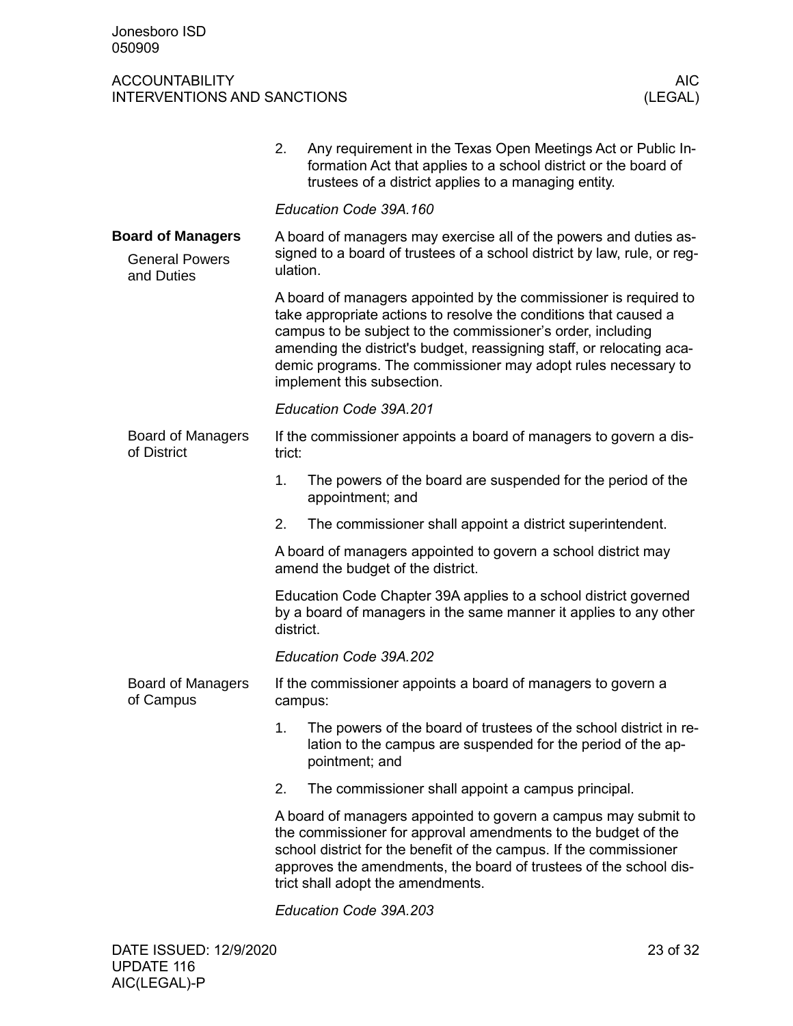<span id="page-22-3"></span><span id="page-22-2"></span><span id="page-22-1"></span><span id="page-22-0"></span>

|                                                                 | 2.                                                                                                                                                        | Any requirement in the Texas Open Meetings Act or Public In-<br>formation Act that applies to a school district or the board of<br>trustees of a district applies to a managing entity.                                                                                                                                                                                     |  |  |  |  |
|-----------------------------------------------------------------|-----------------------------------------------------------------------------------------------------------------------------------------------------------|-----------------------------------------------------------------------------------------------------------------------------------------------------------------------------------------------------------------------------------------------------------------------------------------------------------------------------------------------------------------------------|--|--|--|--|
|                                                                 |                                                                                                                                                           | Education Code 39A.160                                                                                                                                                                                                                                                                                                                                                      |  |  |  |  |
| <b>Board of Managers</b><br><b>General Powers</b><br>and Duties | A board of managers may exercise all of the powers and duties as-<br>signed to a board of trustees of a school district by law, rule, or reg-<br>ulation. |                                                                                                                                                                                                                                                                                                                                                                             |  |  |  |  |
|                                                                 |                                                                                                                                                           | A board of managers appointed by the commissioner is required to<br>take appropriate actions to resolve the conditions that caused a<br>campus to be subject to the commissioner's order, including<br>amending the district's budget, reassigning staff, or relocating aca-<br>demic programs. The commissioner may adopt rules necessary to<br>implement this subsection. |  |  |  |  |
|                                                                 |                                                                                                                                                           | Education Code 39A.201                                                                                                                                                                                                                                                                                                                                                      |  |  |  |  |
| <b>Board of Managers</b><br>of District                         | trict:                                                                                                                                                    | If the commissioner appoints a board of managers to govern a dis-                                                                                                                                                                                                                                                                                                           |  |  |  |  |
|                                                                 | 1.                                                                                                                                                        | The powers of the board are suspended for the period of the<br>appointment; and                                                                                                                                                                                                                                                                                             |  |  |  |  |
|                                                                 | 2.                                                                                                                                                        | The commissioner shall appoint a district superintendent.                                                                                                                                                                                                                                                                                                                   |  |  |  |  |
|                                                                 |                                                                                                                                                           | A board of managers appointed to govern a school district may<br>amend the budget of the district.                                                                                                                                                                                                                                                                          |  |  |  |  |
|                                                                 |                                                                                                                                                           | Education Code Chapter 39A applies to a school district governed<br>by a board of managers in the same manner it applies to any other<br>district.                                                                                                                                                                                                                          |  |  |  |  |
|                                                                 |                                                                                                                                                           | Education Code 39A.202                                                                                                                                                                                                                                                                                                                                                      |  |  |  |  |
| <b>Board of Managers</b><br>of Campus                           |                                                                                                                                                           | If the commissioner appoints a board of managers to govern a<br>campus:                                                                                                                                                                                                                                                                                                     |  |  |  |  |
|                                                                 | 1.                                                                                                                                                        | The powers of the board of trustees of the school district in re-<br>lation to the campus are suspended for the period of the ap-<br>pointment; and                                                                                                                                                                                                                         |  |  |  |  |
|                                                                 | 2.                                                                                                                                                        | The commissioner shall appoint a campus principal.                                                                                                                                                                                                                                                                                                                          |  |  |  |  |
|                                                                 |                                                                                                                                                           | A board of managers appointed to govern a campus may submit to<br>the commissioner for approval amendments to the budget of the<br>school district for the benefit of the campus. If the commissioner<br>approves the amendments, the board of trustees of the school dis-<br>trict shall adopt the amendments.                                                             |  |  |  |  |
|                                                                 |                                                                                                                                                           | Education Code 39A.203                                                                                                                                                                                                                                                                                                                                                      |  |  |  |  |
|                                                                 |                                                                                                                                                           |                                                                                                                                                                                                                                                                                                                                                                             |  |  |  |  |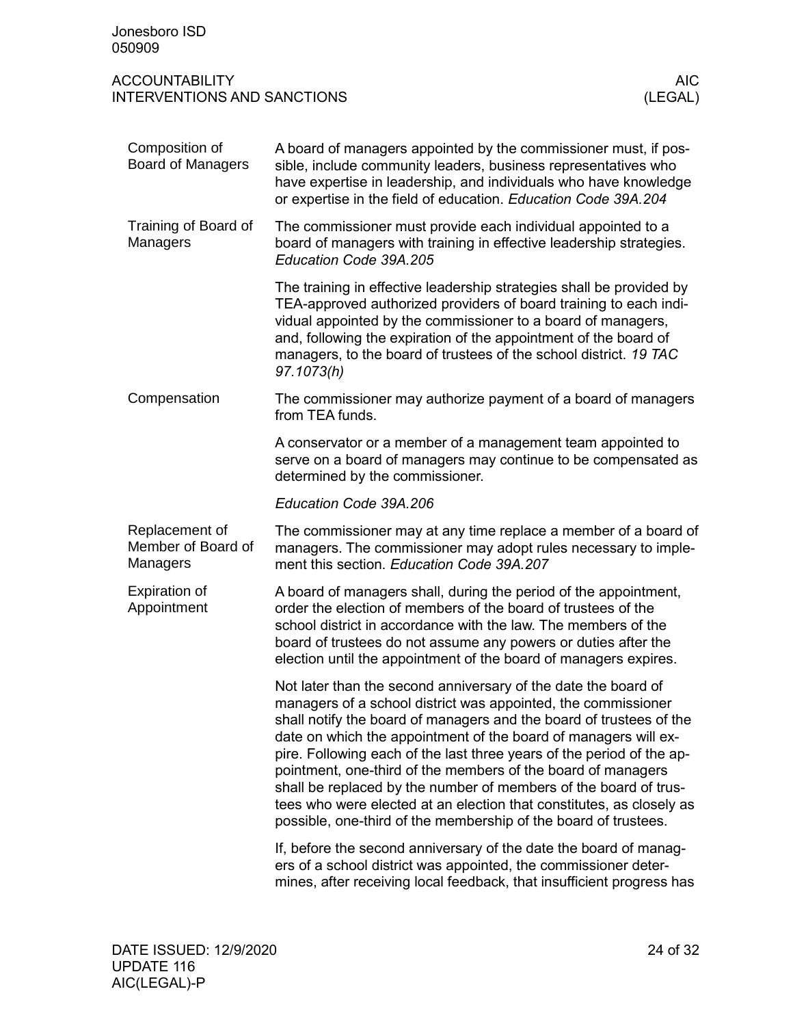<span id="page-23-4"></span><span id="page-23-3"></span><span id="page-23-2"></span><span id="page-23-1"></span><span id="page-23-0"></span>

| Jonesboro ISD<br>050909                                     |                                                                                                                                                                                                                                                                                                                                                                                                                                                                                                                                                                                                                                   |                |
|-------------------------------------------------------------|-----------------------------------------------------------------------------------------------------------------------------------------------------------------------------------------------------------------------------------------------------------------------------------------------------------------------------------------------------------------------------------------------------------------------------------------------------------------------------------------------------------------------------------------------------------------------------------------------------------------------------------|----------------|
| <b>ACCOUNTABILITY</b><br><b>INTERVENTIONS AND SANCTIONS</b> |                                                                                                                                                                                                                                                                                                                                                                                                                                                                                                                                                                                                                                   | AIC<br>(LEGAL) |
| Composition of<br><b>Board of Managers</b>                  | A board of managers appointed by the commissioner must, if pos-<br>sible, include community leaders, business representatives who<br>have expertise in leadership, and individuals who have knowledge<br>or expertise in the field of education. Education Code 39A.204                                                                                                                                                                                                                                                                                                                                                           |                |
| Training of Board of<br>Managers                            | The commissioner must provide each individual appointed to a<br>board of managers with training in effective leadership strategies.<br>Education Code 39A.205                                                                                                                                                                                                                                                                                                                                                                                                                                                                     |                |
|                                                             | The training in effective leadership strategies shall be provided by<br>TEA-approved authorized providers of board training to each indi-<br>vidual appointed by the commissioner to a board of managers,<br>and, following the expiration of the appointment of the board of<br>managers, to the board of trustees of the school district. 19 TAC<br>97.1073(h)                                                                                                                                                                                                                                                                  |                |
| Compensation                                                | The commissioner may authorize payment of a board of managers<br>from TEA funds.                                                                                                                                                                                                                                                                                                                                                                                                                                                                                                                                                  |                |
|                                                             | A conservator or a member of a management team appointed to<br>serve on a board of managers may continue to be compensated as<br>determined by the commissioner.                                                                                                                                                                                                                                                                                                                                                                                                                                                                  |                |
|                                                             | Education Code 39A.206                                                                                                                                                                                                                                                                                                                                                                                                                                                                                                                                                                                                            |                |
| Replacement of<br>Member of Board of<br>Managers            | The commissioner may at any time replace a member of a board of<br>managers. The commissioner may adopt rules necessary to imple-<br>ment this section. Education Code 39A.207                                                                                                                                                                                                                                                                                                                                                                                                                                                    |                |
| <b>Expiration of</b><br>Appointment                         | A board of managers shall, during the period of the appointment,<br>order the election of members of the board of trustees of the<br>school district in accordance with the law. The members of the<br>board of trustees do not assume any powers or duties after the<br>election until the appointment of the board of managers expires.                                                                                                                                                                                                                                                                                         |                |
|                                                             | Not later than the second anniversary of the date the board of<br>managers of a school district was appointed, the commissioner<br>shall notify the board of managers and the board of trustees of the<br>date on which the appointment of the board of managers will ex-<br>pire. Following each of the last three years of the period of the ap-<br>pointment, one-third of the members of the board of managers<br>shall be replaced by the number of members of the board of trus-<br>tees who were elected at an election that constitutes, as closely as<br>possible, one-third of the membership of the board of trustees. |                |
|                                                             | If, before the second anniversary of the date the board of manag-<br>ers of a school district was appointed, the commissioner deter-<br>mines, after receiving local feedback, that insufficient progress has                                                                                                                                                                                                                                                                                                                                                                                                                     |                |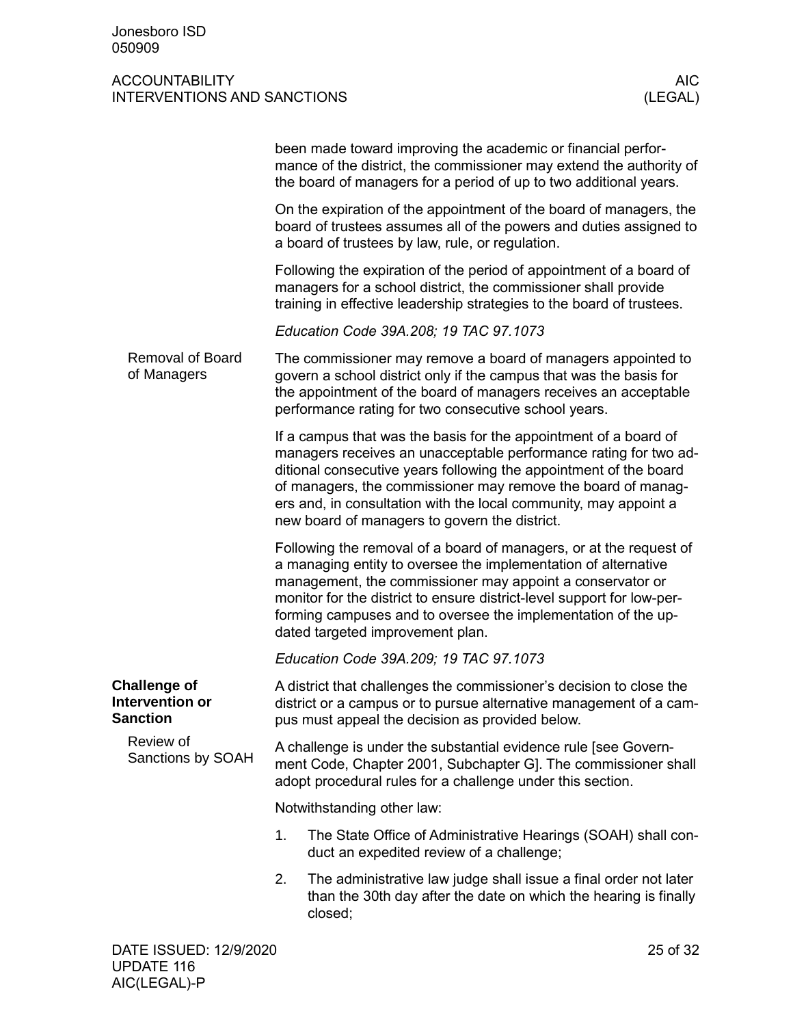<span id="page-24-2"></span><span id="page-24-1"></span><span id="page-24-0"></span>

|                                                    |    | been made toward improving the academic or financial perfor-<br>mance of the district, the commissioner may extend the authority of<br>the board of managers for a period of up to two additional years.                                                                                                                                                                                       |
|----------------------------------------------------|----|------------------------------------------------------------------------------------------------------------------------------------------------------------------------------------------------------------------------------------------------------------------------------------------------------------------------------------------------------------------------------------------------|
|                                                    |    | On the expiration of the appointment of the board of managers, the<br>board of trustees assumes all of the powers and duties assigned to<br>a board of trustees by law, rule, or regulation.                                                                                                                                                                                                   |
|                                                    |    | Following the expiration of the period of appointment of a board of<br>managers for a school district, the commissioner shall provide<br>training in effective leadership strategies to the board of trustees.                                                                                                                                                                                 |
|                                                    |    | Education Code 39A.208; 19 TAC 97.1073                                                                                                                                                                                                                                                                                                                                                         |
| <b>Removal of Board</b><br>of Managers             |    | The commissioner may remove a board of managers appointed to<br>govern a school district only if the campus that was the basis for<br>the appointment of the board of managers receives an acceptable<br>performance rating for two consecutive school years.                                                                                                                                  |
|                                                    |    | If a campus that was the basis for the appointment of a board of<br>managers receives an unacceptable performance rating for two ad-<br>ditional consecutive years following the appointment of the board<br>of managers, the commissioner may remove the board of manag-<br>ers and, in consultation with the local community, may appoint a<br>new board of managers to govern the district. |
|                                                    |    | Following the removal of a board of managers, or at the request of<br>a managing entity to oversee the implementation of alternative<br>management, the commissioner may appoint a conservator or<br>monitor for the district to ensure district-level support for low-per-<br>forming campuses and to oversee the implementation of the up-<br>dated targeted improvement plan.               |
|                                                    |    | Education Code 39A.209; 19 TAC 97.1073                                                                                                                                                                                                                                                                                                                                                         |
| <b>Challenge of</b><br>Intervention or<br>Sanction |    | A district that challenges the commissioner's decision to close the<br>district or a campus or to pursue alternative management of a cam-<br>pus must appeal the decision as provided below.                                                                                                                                                                                                   |
| Review of<br>Sanctions by SOAH                     |    | A challenge is under the substantial evidence rule [see Govern-<br>ment Code, Chapter 2001, Subchapter G]. The commissioner shall<br>adopt procedural rules for a challenge under this section.                                                                                                                                                                                                |
|                                                    |    | Notwithstanding other law:                                                                                                                                                                                                                                                                                                                                                                     |
|                                                    | 1. | The State Office of Administrative Hearings (SOAH) shall con-<br>duct an expedited review of a challenge;                                                                                                                                                                                                                                                                                      |
|                                                    | 2. | The administrative law judge shall issue a final order not later<br>than the 30th day after the date on which the hearing is finally<br>closed;                                                                                                                                                                                                                                                |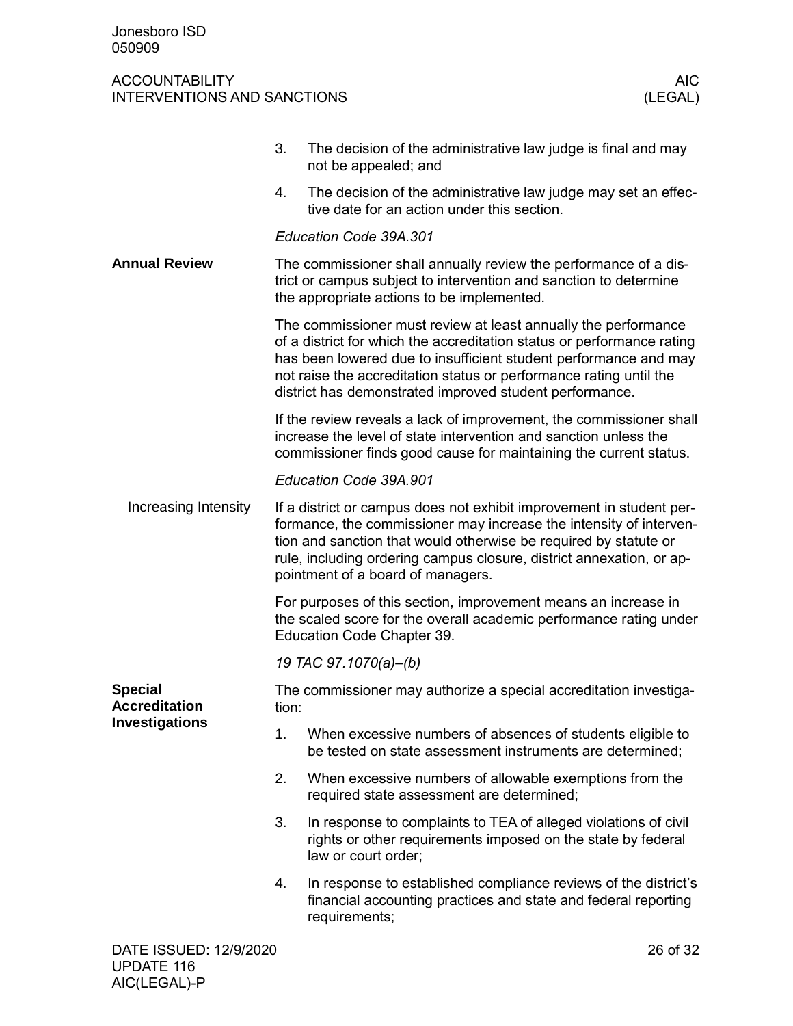<span id="page-25-2"></span><span id="page-25-1"></span><span id="page-25-0"></span>

|                                        | 3.                                                                                                                                                                                                                                                                                                                                            | The decision of the administrative law judge is final and may<br>not be appealed; and                                                                  |  |  |  |
|----------------------------------------|-----------------------------------------------------------------------------------------------------------------------------------------------------------------------------------------------------------------------------------------------------------------------------------------------------------------------------------------------|--------------------------------------------------------------------------------------------------------------------------------------------------------|--|--|--|
|                                        | 4.                                                                                                                                                                                                                                                                                                                                            | The decision of the administrative law judge may set an effec-<br>tive date for an action under this section.                                          |  |  |  |
|                                        |                                                                                                                                                                                                                                                                                                                                               | Education Code 39A.301                                                                                                                                 |  |  |  |
| <b>Annual Review</b>                   | The commissioner shall annually review the performance of a dis-<br>trict or campus subject to intervention and sanction to determine<br>the appropriate actions to be implemented.                                                                                                                                                           |                                                                                                                                                        |  |  |  |
|                                        | The commissioner must review at least annually the performance<br>of a district for which the accreditation status or performance rating<br>has been lowered due to insufficient student performance and may<br>not raise the accreditation status or performance rating until the<br>district has demonstrated improved student performance. |                                                                                                                                                        |  |  |  |
|                                        | If the review reveals a lack of improvement, the commissioner shall<br>increase the level of state intervention and sanction unless the<br>commissioner finds good cause for maintaining the current status.                                                                                                                                  |                                                                                                                                                        |  |  |  |
|                                        | Education Code 39A.901                                                                                                                                                                                                                                                                                                                        |                                                                                                                                                        |  |  |  |
| Increasing Intensity                   | If a district or campus does not exhibit improvement in student per-<br>formance, the commissioner may increase the intensity of interven-<br>tion and sanction that would otherwise be required by statute or<br>rule, including ordering campus closure, district annexation, or ap-<br>pointment of a board of managers.                   |                                                                                                                                                        |  |  |  |
|                                        | For purposes of this section, improvement means an increase in<br>the scaled score for the overall academic performance rating under<br>Education Code Chapter 39.                                                                                                                                                                            |                                                                                                                                                        |  |  |  |
|                                        |                                                                                                                                                                                                                                                                                                                                               | 19 TAC 97.1070(a)-(b)                                                                                                                                  |  |  |  |
| <b>Special</b><br><b>Accreditation</b> | The commissioner may authorize a special accreditation investiga-<br>tion:                                                                                                                                                                                                                                                                    |                                                                                                                                                        |  |  |  |
| Investigations                         | 1.                                                                                                                                                                                                                                                                                                                                            | When excessive numbers of absences of students eligible to<br>be tested on state assessment instruments are determined;                                |  |  |  |
|                                        | 2.                                                                                                                                                                                                                                                                                                                                            | When excessive numbers of allowable exemptions from the<br>required state assessment are determined;                                                   |  |  |  |
|                                        | 3.                                                                                                                                                                                                                                                                                                                                            | In response to complaints to TEA of alleged violations of civil<br>rights or other requirements imposed on the state by federal<br>law or court order; |  |  |  |
|                                        | 4.                                                                                                                                                                                                                                                                                                                                            | In response to established compliance reviews of the district's<br>financial accounting practices and state and federal reporting<br>requirements;     |  |  |  |
| DATE ISSUED: 12/9/2020                 |                                                                                                                                                                                                                                                                                                                                               | 26 of 32                                                                                                                                               |  |  |  |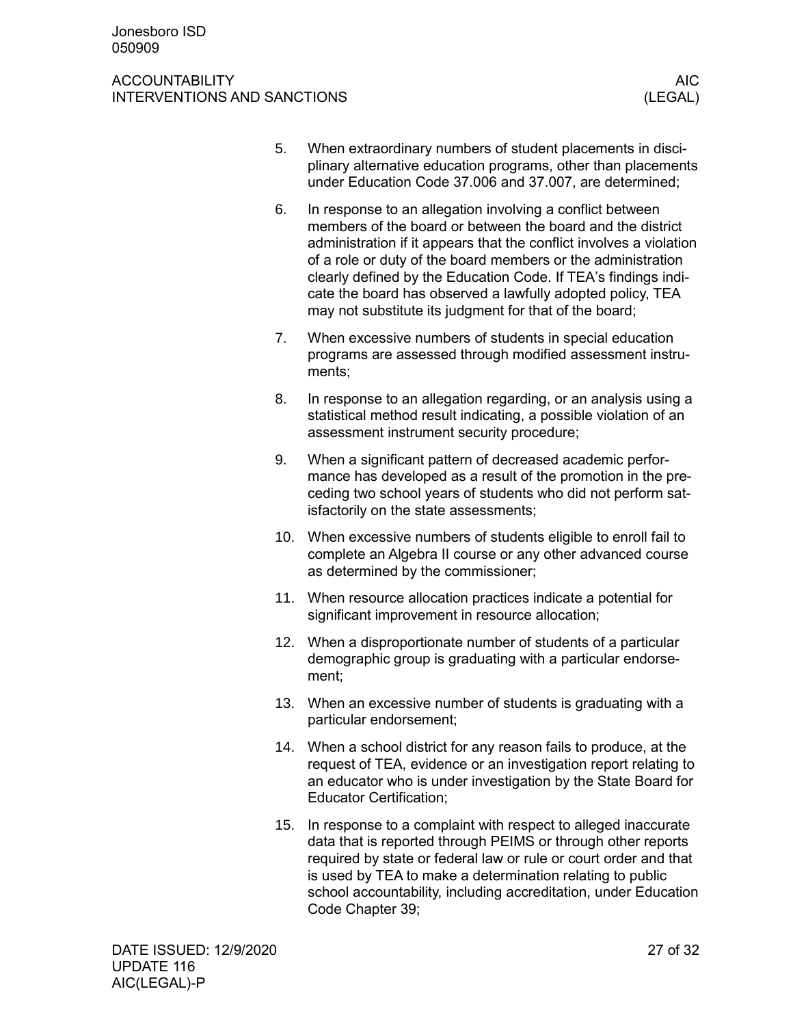#### ACCOUNTABILITY AND ALCOUNTABILITY INTERVENTIONS AND SANCTIONS (LEGAL)

- 5. When extraordinary numbers of student placements in disciplinary alternative education programs, other than placements under Education Code 37.006 and 37.007, are determined;
- 6. In response to an allegation involving a conflict between members of the board or between the board and the district administration if it appears that the conflict involves a violation of a role or duty of the board members or the administration clearly defined by the Education Code. If TEA's findings indicate the board has observed a lawfully adopted policy, TEA may not substitute its judgment for that of the board;
- 7. When excessive numbers of students in special education programs are assessed through modified assessment instruments;
- 8. In response to an allegation regarding, or an analysis using a statistical method result indicating, a possible violation of an assessment instrument security procedure;
- 9. When a significant pattern of decreased academic performance has developed as a result of the promotion in the preceding two school years of students who did not perform satisfactorily on the state assessments;
- 10. When excessive numbers of students eligible to enroll fail to complete an Algebra II course or any other advanced course as determined by the commissioner;
- 11. When resource allocation practices indicate a potential for significant improvement in resource allocation;
- 12. When a disproportionate number of students of a particular demographic group is graduating with a particular endorsement;
- 13. When an excessive number of students is graduating with a particular endorsement;
- 14. When a school district for any reason fails to produce, at the request of TEA, evidence or an investigation report relating to an educator who is under investigation by the State Board for Educator Certification;
- 15. In response to a complaint with respect to alleged inaccurate data that is reported through PEIMS or through other reports required by state or federal law or rule or court order and that is used by TEA to make a determination relating to public school accountability, including accreditation, under Education Code Chapter 39;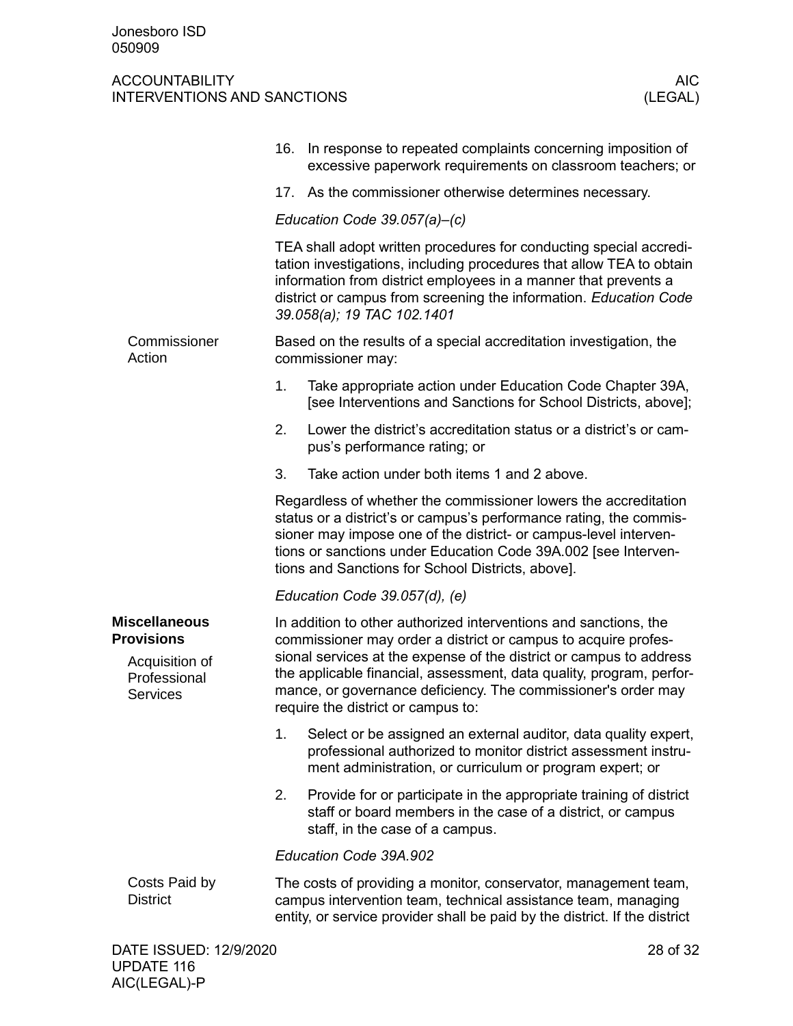<span id="page-27-3"></span><span id="page-27-2"></span><span id="page-27-1"></span><span id="page-27-0"></span>

|                                                                                                | 16.                                                                                                                                                                                                                                                                                                                              | In response to repeated complaints concerning imposition of<br>excessive paperwork requirements on classroom teachers; or                                                                                                                                                                                                                                                                |  |  |  |  |
|------------------------------------------------------------------------------------------------|----------------------------------------------------------------------------------------------------------------------------------------------------------------------------------------------------------------------------------------------------------------------------------------------------------------------------------|------------------------------------------------------------------------------------------------------------------------------------------------------------------------------------------------------------------------------------------------------------------------------------------------------------------------------------------------------------------------------------------|--|--|--|--|
|                                                                                                | 17.                                                                                                                                                                                                                                                                                                                              | As the commissioner otherwise determines necessary.                                                                                                                                                                                                                                                                                                                                      |  |  |  |  |
|                                                                                                | Education Code $39.057(a)$ –(c)                                                                                                                                                                                                                                                                                                  |                                                                                                                                                                                                                                                                                                                                                                                          |  |  |  |  |
|                                                                                                |                                                                                                                                                                                                                                                                                                                                  | TEA shall adopt written procedures for conducting special accredi-<br>tation investigations, including procedures that allow TEA to obtain<br>information from district employees in a manner that prevents a<br>district or campus from screening the information. Education Code<br>39.058(a); 19 TAC 102.1401                                                                         |  |  |  |  |
| Commissioner<br>Action                                                                         |                                                                                                                                                                                                                                                                                                                                  | Based on the results of a special accreditation investigation, the<br>commissioner may:                                                                                                                                                                                                                                                                                                  |  |  |  |  |
|                                                                                                | 1.                                                                                                                                                                                                                                                                                                                               | Take appropriate action under Education Code Chapter 39A,<br>[see Interventions and Sanctions for School Districts, above];                                                                                                                                                                                                                                                              |  |  |  |  |
|                                                                                                | 2.                                                                                                                                                                                                                                                                                                                               | Lower the district's accreditation status or a district's or cam-<br>pus's performance rating; or                                                                                                                                                                                                                                                                                        |  |  |  |  |
|                                                                                                | 3.                                                                                                                                                                                                                                                                                                                               | Take action under both items 1 and 2 above.                                                                                                                                                                                                                                                                                                                                              |  |  |  |  |
|                                                                                                | Regardless of whether the commissioner lowers the accreditation<br>status or a district's or campus's performance rating, the commis-<br>sioner may impose one of the district- or campus-level interven-<br>tions or sanctions under Education Code 39A.002 [see Interven-<br>tions and Sanctions for School Districts, above]. |                                                                                                                                                                                                                                                                                                                                                                                          |  |  |  |  |
|                                                                                                |                                                                                                                                                                                                                                                                                                                                  | Education Code 39.057(d), (e)                                                                                                                                                                                                                                                                                                                                                            |  |  |  |  |
| <b>Miscellaneous</b><br><b>Provisions</b><br>Acquisition of<br>Professional<br><b>Services</b> |                                                                                                                                                                                                                                                                                                                                  | In addition to other authorized interventions and sanctions, the<br>commissioner may order a district or campus to acquire profes-<br>sional services at the expense of the district or campus to address<br>the applicable financial, assessment, data quality, program, perfor-<br>mance, or governance deficiency. The commissioner's order may<br>require the district or campus to: |  |  |  |  |
|                                                                                                | 1.                                                                                                                                                                                                                                                                                                                               | Select or be assigned an external auditor, data quality expert,<br>professional authorized to monitor district assessment instru-<br>ment administration, or curriculum or program expert; or                                                                                                                                                                                            |  |  |  |  |
|                                                                                                | 2.                                                                                                                                                                                                                                                                                                                               | Provide for or participate in the appropriate training of district<br>staff or board members in the case of a district, or campus<br>staff, in the case of a campus.                                                                                                                                                                                                                     |  |  |  |  |
|                                                                                                |                                                                                                                                                                                                                                                                                                                                  | Education Code 39A.902                                                                                                                                                                                                                                                                                                                                                                   |  |  |  |  |
| Costs Paid by<br><b>District</b>                                                               |                                                                                                                                                                                                                                                                                                                                  | The costs of providing a monitor, conservator, management team,<br>campus intervention team, technical assistance team, managing<br>entity, or service provider shall be paid by the district. If the district                                                                                                                                                                           |  |  |  |  |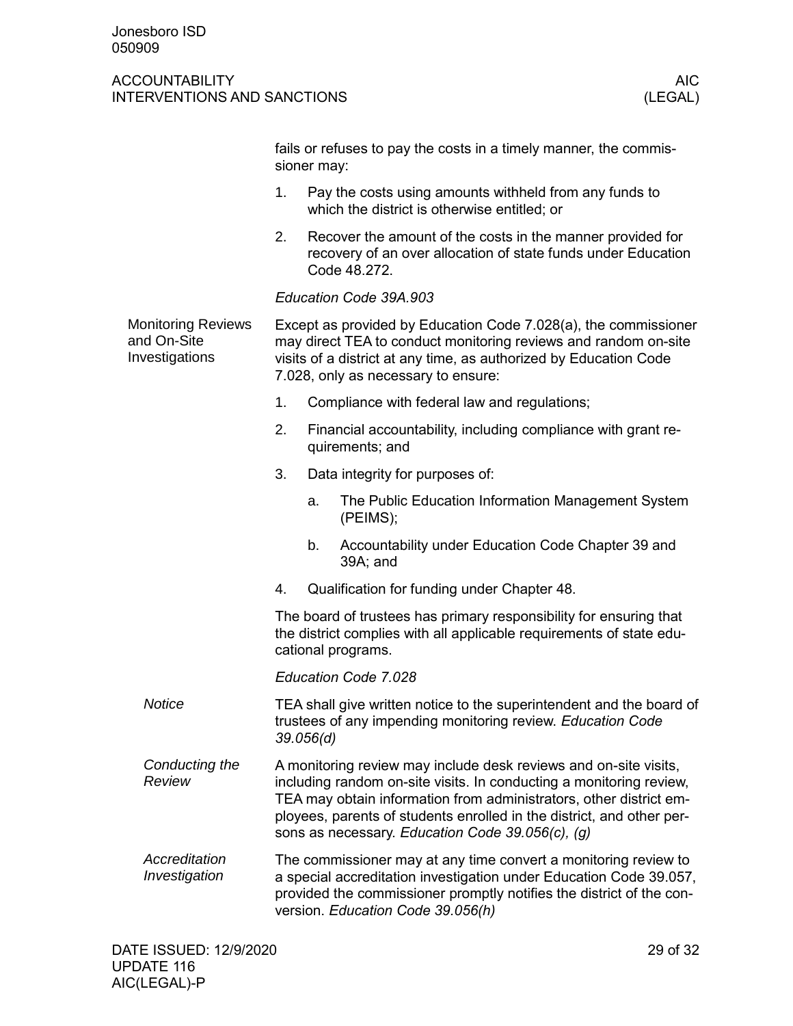<span id="page-28-0"></span>

|                                                            | fails or refuses to pay the costs in a timely manner, the commis-<br>sioner may:                                                                                                                                                                                                                                                           |                                                                                                        |                                                                                                                                             |  |  |
|------------------------------------------------------------|--------------------------------------------------------------------------------------------------------------------------------------------------------------------------------------------------------------------------------------------------------------------------------------------------------------------------------------------|--------------------------------------------------------------------------------------------------------|---------------------------------------------------------------------------------------------------------------------------------------------|--|--|
|                                                            | 1.                                                                                                                                                                                                                                                                                                                                         | Pay the costs using amounts withheld from any funds to<br>which the district is otherwise entitled; or |                                                                                                                                             |  |  |
|                                                            | 2.                                                                                                                                                                                                                                                                                                                                         |                                                                                                        | Recover the amount of the costs in the manner provided for<br>recovery of an over allocation of state funds under Education<br>Code 48.272. |  |  |
|                                                            | Education Code 39A.903                                                                                                                                                                                                                                                                                                                     |                                                                                                        |                                                                                                                                             |  |  |
| <b>Monitoring Reviews</b><br>and On-Site<br>Investigations | Except as provided by Education Code 7.028(a), the commissioner<br>may direct TEA to conduct monitoring reviews and random on-site<br>visits of a district at any time, as authorized by Education Code<br>7.028, only as necessary to ensure:                                                                                             |                                                                                                        |                                                                                                                                             |  |  |
|                                                            | 1.                                                                                                                                                                                                                                                                                                                                         |                                                                                                        | Compliance with federal law and regulations;                                                                                                |  |  |
|                                                            | 2.                                                                                                                                                                                                                                                                                                                                         | Financial accountability, including compliance with grant re-<br>quirements; and                       |                                                                                                                                             |  |  |
|                                                            | 3.                                                                                                                                                                                                                                                                                                                                         |                                                                                                        | Data integrity for purposes of:                                                                                                             |  |  |
|                                                            |                                                                                                                                                                                                                                                                                                                                            | a.                                                                                                     | The Public Education Information Management System<br>(PEIMS);                                                                              |  |  |
|                                                            |                                                                                                                                                                                                                                                                                                                                            | b.                                                                                                     | Accountability under Education Code Chapter 39 and<br>39A; and                                                                              |  |  |
|                                                            | 4.                                                                                                                                                                                                                                                                                                                                         |                                                                                                        | Qualification for funding under Chapter 48.                                                                                                 |  |  |
|                                                            | The board of trustees has primary responsibility for ensuring that<br>the district complies with all applicable requirements of state edu-<br>cational programs.                                                                                                                                                                           |                                                                                                        |                                                                                                                                             |  |  |
|                                                            | <b>Education Code 7.028</b>                                                                                                                                                                                                                                                                                                                |                                                                                                        |                                                                                                                                             |  |  |
| <b>Notice</b>                                              | TEA shall give written notice to the superintendent and the board of<br>trustees of any impending monitoring review. Education Code<br>39.056(d)                                                                                                                                                                                           |                                                                                                        |                                                                                                                                             |  |  |
| Conducting the<br>Review                                   | A monitoring review may include desk reviews and on-site visits,<br>including random on-site visits. In conducting a monitoring review,<br>TEA may obtain information from administrators, other district em-<br>ployees, parents of students enrolled in the district, and other per-<br>sons as necessary. Education Code 39.056(c), (g) |                                                                                                        |                                                                                                                                             |  |  |
| Accreditation<br>Investigation                             | The commissioner may at any time convert a monitoring review to<br>a special accreditation investigation under Education Code 39.057,<br>provided the commissioner promptly notifies the district of the con-<br>version. Education Code 39.056(h)                                                                                         |                                                                                                        |                                                                                                                                             |  |  |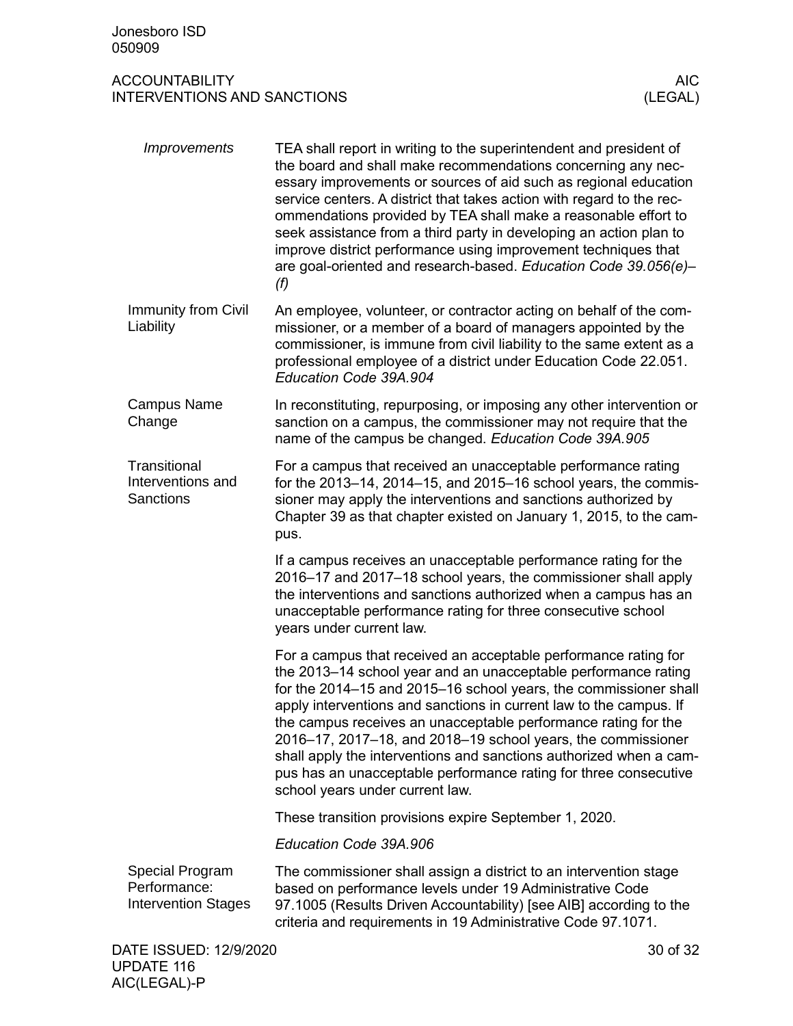<span id="page-29-3"></span><span id="page-29-2"></span><span id="page-29-1"></span><span id="page-29-0"></span>

| <i><b>Improvements</b></i>                                    | TEA shall report in writing to the superintendent and president of<br>the board and shall make recommendations concerning any nec-<br>essary improvements or sources of aid such as regional education<br>service centers. A district that takes action with regard to the rec-<br>ommendations provided by TEA shall make a reasonable effort to<br>seek assistance from a third party in developing an action plan to<br>improve district performance using improvement techniques that<br>are goal-oriented and research-based. Education Code 39.056(e)-<br>(f)                        |
|---------------------------------------------------------------|--------------------------------------------------------------------------------------------------------------------------------------------------------------------------------------------------------------------------------------------------------------------------------------------------------------------------------------------------------------------------------------------------------------------------------------------------------------------------------------------------------------------------------------------------------------------------------------------|
| Immunity from Civil<br>Liability                              | An employee, volunteer, or contractor acting on behalf of the com-<br>missioner, or a member of a board of managers appointed by the<br>commissioner, is immune from civil liability to the same extent as a<br>professional employee of a district under Education Code 22.051.<br>Education Code 39A.904                                                                                                                                                                                                                                                                                 |
| <b>Campus Name</b><br>Change                                  | In reconstituting, repurposing, or imposing any other intervention or<br>sanction on a campus, the commissioner may not require that the<br>name of the campus be changed. Education Code 39A.905                                                                                                                                                                                                                                                                                                                                                                                          |
| Transitional<br>Interventions and<br><b>Sanctions</b>         | For a campus that received an unacceptable performance rating<br>for the 2013–14, 2014–15, and 2015–16 school years, the commis-<br>sioner may apply the interventions and sanctions authorized by<br>Chapter 39 as that chapter existed on January 1, 2015, to the cam-<br>pus.                                                                                                                                                                                                                                                                                                           |
|                                                               | If a campus receives an unacceptable performance rating for the<br>2016–17 and 2017–18 school years, the commissioner shall apply<br>the interventions and sanctions authorized when a campus has an<br>unacceptable performance rating for three consecutive school<br>years under current law.                                                                                                                                                                                                                                                                                           |
|                                                               | For a campus that received an acceptable performance rating for<br>the 2013-14 school year and an unacceptable performance rating<br>for the 2014-15 and 2015-16 school years, the commissioner shall<br>apply interventions and sanctions in current law to the campus. If<br>the campus receives an unacceptable performance rating for the<br>2016–17, 2017–18, and 2018–19 school years, the commissioner<br>shall apply the interventions and sanctions authorized when a cam-<br>pus has an unacceptable performance rating for three consecutive<br>school years under current law. |
|                                                               | These transition provisions expire September 1, 2020.                                                                                                                                                                                                                                                                                                                                                                                                                                                                                                                                      |
|                                                               | Education Code 39A.906                                                                                                                                                                                                                                                                                                                                                                                                                                                                                                                                                                     |
| Special Program<br>Performance:<br><b>Intervention Stages</b> | The commissioner shall assign a district to an intervention stage<br>based on performance levels under 19 Administrative Code<br>97.1005 (Results Driven Accountability) [see AIB] according to the<br>criteria and requirements in 19 Administrative Code 97.1071.                                                                                                                                                                                                                                                                                                                        |
| DATE ISSUED: 12/9/2020                                        | 30 of 32                                                                                                                                                                                                                                                                                                                                                                                                                                                                                                                                                                                   |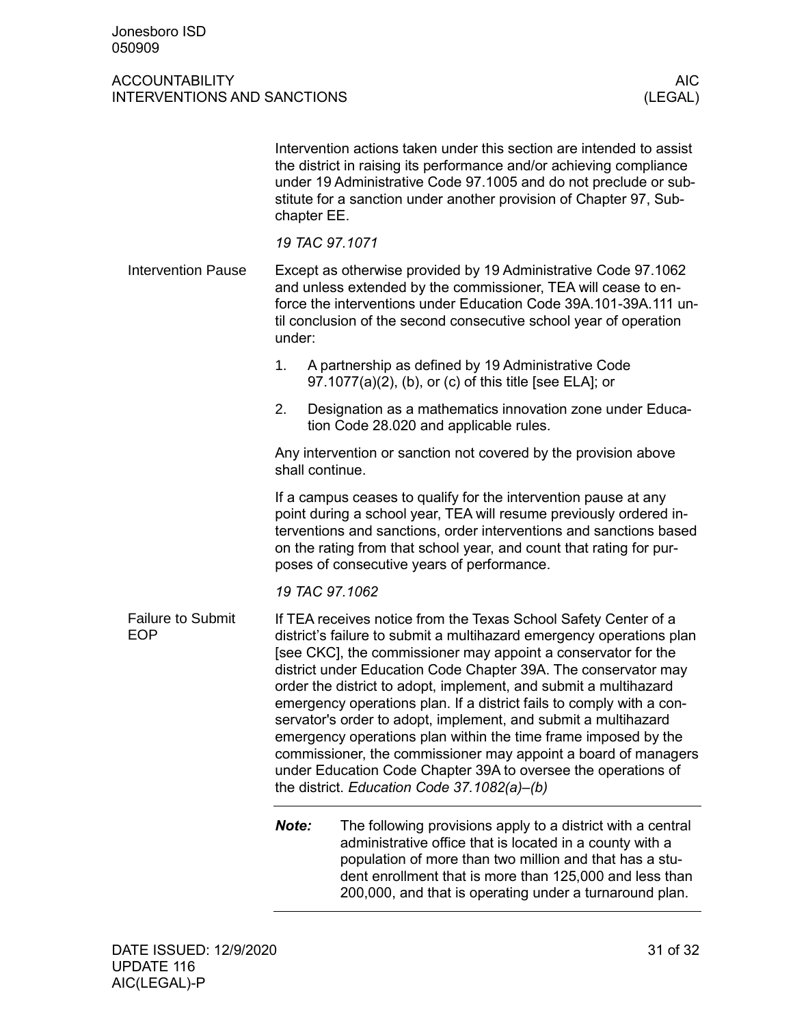<span id="page-30-1"></span><span id="page-30-0"></span>

|                                        | chapter EE.                                                                                                                                                                                                                                                                                                                                                                                                                                                                                                                                                                                                                                                                                                                                  | Intervention actions taken under this section are intended to assist<br>the district in raising its performance and/or achieving compliance<br>under 19 Administrative Code 97.1005 and do not preclude or sub-<br>stitute for a sanction under another provision of Chapter 97, Sub-                    |  |  |  |
|----------------------------------------|----------------------------------------------------------------------------------------------------------------------------------------------------------------------------------------------------------------------------------------------------------------------------------------------------------------------------------------------------------------------------------------------------------------------------------------------------------------------------------------------------------------------------------------------------------------------------------------------------------------------------------------------------------------------------------------------------------------------------------------------|----------------------------------------------------------------------------------------------------------------------------------------------------------------------------------------------------------------------------------------------------------------------------------------------------------|--|--|--|
|                                        | 19 TAC 97.1071                                                                                                                                                                                                                                                                                                                                                                                                                                                                                                                                                                                                                                                                                                                               |                                                                                                                                                                                                                                                                                                          |  |  |  |
| <b>Intervention Pause</b>              | Except as otherwise provided by 19 Administrative Code 97.1062<br>and unless extended by the commissioner, TEA will cease to en-<br>force the interventions under Education Code 39A.101-39A.111 un-<br>til conclusion of the second consecutive school year of operation<br>under:                                                                                                                                                                                                                                                                                                                                                                                                                                                          |                                                                                                                                                                                                                                                                                                          |  |  |  |
|                                        | 1.                                                                                                                                                                                                                                                                                                                                                                                                                                                                                                                                                                                                                                                                                                                                           | A partnership as defined by 19 Administrative Code<br>97.1077(a)(2), (b), or (c) of this title [see ELA]; or                                                                                                                                                                                             |  |  |  |
|                                        | 2.                                                                                                                                                                                                                                                                                                                                                                                                                                                                                                                                                                                                                                                                                                                                           | Designation as a mathematics innovation zone under Educa-<br>tion Code 28.020 and applicable rules.                                                                                                                                                                                                      |  |  |  |
|                                        | Any intervention or sanction not covered by the provision above<br>shall continue.                                                                                                                                                                                                                                                                                                                                                                                                                                                                                                                                                                                                                                                           |                                                                                                                                                                                                                                                                                                          |  |  |  |
|                                        | If a campus ceases to qualify for the intervention pause at any<br>point during a school year, TEA will resume previously ordered in-<br>terventions and sanctions, order interventions and sanctions based<br>on the rating from that school year, and count that rating for pur-<br>poses of consecutive years of performance.                                                                                                                                                                                                                                                                                                                                                                                                             |                                                                                                                                                                                                                                                                                                          |  |  |  |
|                                        | 19 TAC 97.1062                                                                                                                                                                                                                                                                                                                                                                                                                                                                                                                                                                                                                                                                                                                               |                                                                                                                                                                                                                                                                                                          |  |  |  |
| <b>Failure to Submit</b><br><b>EOP</b> | If TEA receives notice from the Texas School Safety Center of a<br>district's failure to submit a multihazard emergency operations plan<br>[see CKC], the commissioner may appoint a conservator for the<br>district under Education Code Chapter 39A. The conservator may<br>order the district to adopt, implement, and submit a multihazard<br>emergency operations plan. If a district fails to comply with a con-<br>servator's order to adopt, implement, and submit a multihazard<br>emergency operations plan within the time frame imposed by the<br>commissioner, the commissioner may appoint a board of managers<br>under Education Code Chapter 39A to oversee the operations of<br>the district. Education Code 37.1082(a)-(b) |                                                                                                                                                                                                                                                                                                          |  |  |  |
|                                        | Note:                                                                                                                                                                                                                                                                                                                                                                                                                                                                                                                                                                                                                                                                                                                                        | The following provisions apply to a district with a central<br>administrative office that is located in a county with a<br>population of more than two million and that has a stu-<br>dent enrollment that is more than 125,000 and less than<br>200,000, and that is operating under a turnaround plan. |  |  |  |